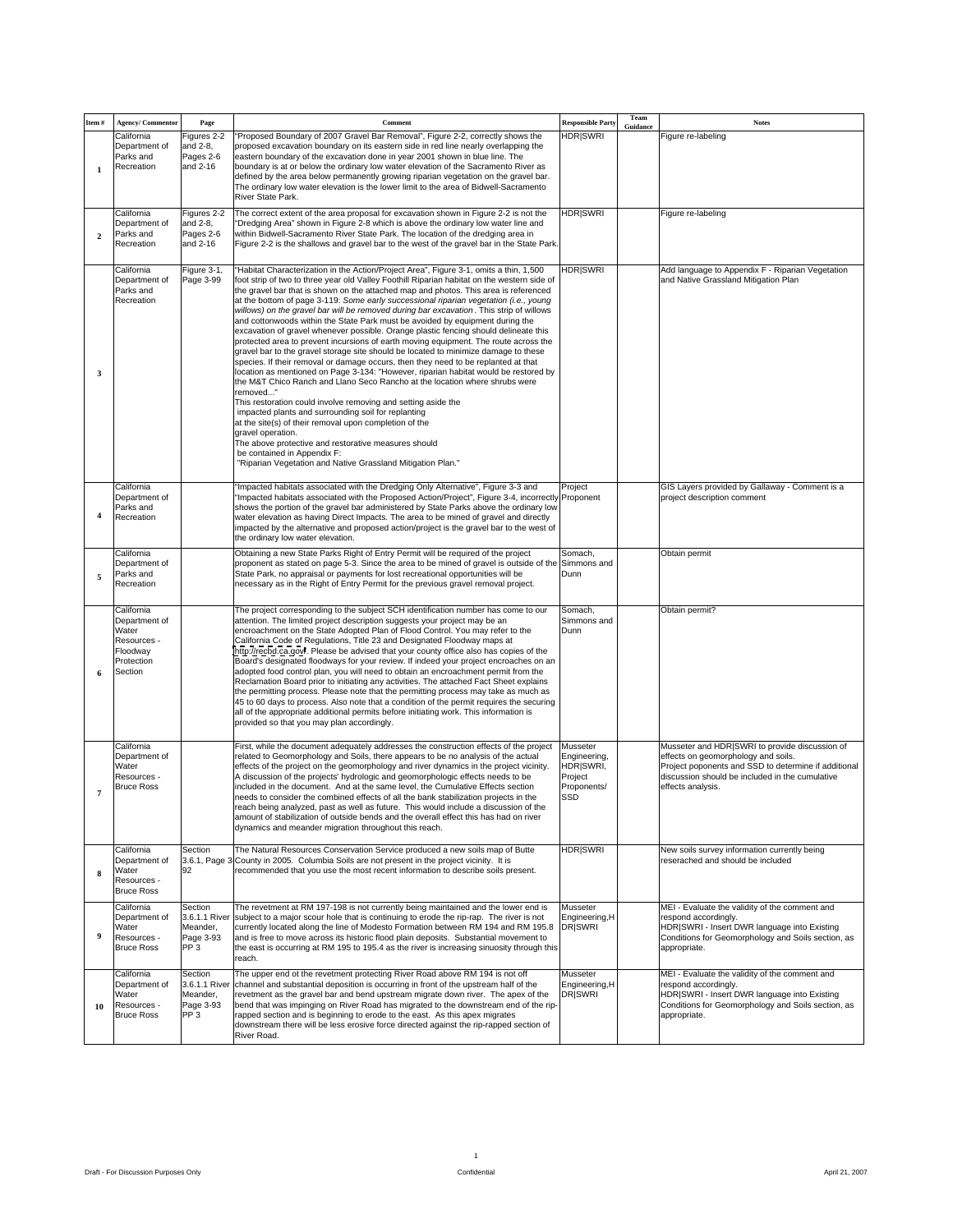| Item # Agency/ Commentor<br>Page                    |                                                                                                                                                                                                                                          | Responsible Party |                                                                                                    |
|-----------------------------------------------------|------------------------------------------------------------------------------------------------------------------------------------------------------------------------------------------------------------------------------------------|-------------------|----------------------------------------------------------------------------------------------------|
| California<br>Figures 2-2<br>Department of and 2-8, | Proposed Boundary of 2007 Gravel Bar Removal", Figure 2-2, correctly shows the HDR SWRI Guidance<br>proposed excavation boundary on its eastern side in red line nearly overlapping the                                                  |                   | Figure re-labeling                                                                                 |
| Parks and<br>Pages 2-6<br>Recreation                | eastern boundary of the excavation done in year 2001 shown in blue line. The<br>and 2-16 boundary is at or below the ordinary low water elevation of the Sacramento River as                                                             |                   |                                                                                                    |
|                                                     | defined by the area below permanently growing riparian vegetation on the gravel bar.<br>The ordinary low water elevation is the lower limit to the area of Bidwell-Sacramento                                                            |                   |                                                                                                    |
|                                                     | River State Park.                                                                                                                                                                                                                        |                   |                                                                                                    |
| California                                          | Figures 2-2 The correct extent of the area proposal for excavation shown in Figure 2-2 is not the HDR SWRI<br>Department of and 2-8, "Dredging Area" shown in Figure 2-8 which is above the ordinary low water line and                  |                   | Figure re-labeling                                                                                 |
| Parks and<br>Recreation                             | Pages 2-6 within Bidwell-Sacramento River State Park. The location of the dredging area in<br>and 2-16 Figure 2-2 is the shallows and gravel bar to the west of the gravel bar in the State Park.                                        |                   |                                                                                                    |
|                                                     |                                                                                                                                                                                                                                          |                   |                                                                                                    |
| California                                          | Figure 3-1, "Habitat Characterization in the Action/Project Area", Figure 3-1, omits a thin, 1,500 HDR SWRI<br>Department of Page 3-99 foot strip of two to three year old Valley Foothill Riparian habitat on the western side of       |                   | Add language to Appendix F - Riparian Vegetation<br>and Native Grassland Mitigation Plan           |
| Parks and<br>Recreation                             | the gravel bar that is shown on the attached map and photos. This area is referenced<br>at the bottom of page 3-119: Some early successional riparian vegetation (i.e., young                                                            |                   |                                                                                                    |
|                                                     | willows) on the gravel bar will be removed during bar excavation. This strip of willows<br>and cottonwoods within the State Park must be avoided by equipment during the                                                                 |                   |                                                                                                    |
|                                                     | excavation of gravel whenever possible. Orange plastic fencing should delineate this<br>protected area to prevent incursions of earth moving equipment. The route across the                                                             |                   |                                                                                                    |
|                                                     | gravel bar to the gravel storage site should be located to minimize damage to these<br>species. If their removal or damage occurs, then they need to be replanted at that                                                                |                   |                                                                                                    |
|                                                     | location as mentioned on Page 3-134: "However, riparian habitat would be restored by<br>the M&T Chico Ranch and Llano Seco Rancho at the location where shrubs were                                                                      |                   |                                                                                                    |
|                                                     | removed"<br>This restoration could involve removing and setting aside the                                                                                                                                                                |                   |                                                                                                    |
|                                                     | impacted plants and surrounding soil for replanting<br>at the site(s) of their removal upon completion of the                                                                                                                            |                   |                                                                                                    |
|                                                     | gravel operation.                                                                                                                                                                                                                        |                   |                                                                                                    |
|                                                     | The above protective and restorative measures should<br>be contained in Appendix F:                                                                                                                                                      |                   |                                                                                                    |
|                                                     | "Riparian Vegetation and Native Grassland Mitigation Plan."                                                                                                                                                                              |                   |                                                                                                    |
| California<br>Department of                         | "Impacted habitats associated with the Dredging Only Alternative", Figure 3-3 and Project<br>"Impacted habitats associated with the Proposed Action/Project", Figure 3-4, incorrectly Proponent                                          |                   | GIS Layers provided by Gallaway - Comment is a<br>project description comment                      |
| Parks and<br>Recreation                             | shows the portion of the gravel bar administered by State Parks above the ordinary low<br>water elevation as having Direct Impacts. The area to be mined of gravel and directly                                                          |                   |                                                                                                    |
|                                                     | impacted by the alternative and proposed action/project is the gravel bar to the west of<br>the ordinary low water elevation.                                                                                                            |                   |                                                                                                    |
| California                                          | Obtaining a new State Parks Right of Entry Permit will be required of the project Somach,                                                                                                                                                |                   | Obtain permit                                                                                      |
| Department of<br>Parks and                          | proponent as stated on page 5-3. Since the area to be mined of gravel is outside of the Simmons and<br>State Park, no appraisal or payments for lost recreational opportunities will be                                                  |                   |                                                                                                    |
| Recreation                                          | necessary as in the Right of Entry Permit for the previous gravel removal project.                                                                                                                                                       |                   |                                                                                                    |
| California                                          | The project corresponding to the subject SCH identification number has come to our Somach,                                                                                                                                               |                   | Obtain permit?                                                                                     |
| Department of<br>Water                              | attention. The limited project description suggests your project may be an<br>encroachment on the State Adopted Plan of Flood Control. You may refer to the                                                                              | Simmons and       |                                                                                                    |
| Resources -<br>Floodway                             | California Code of Regulations, Title 23 and Designated Floodway maps at<br>http://recbd.ca.qov/. Please be advised that your county office also has copies of the                                                                       |                   |                                                                                                    |
| Protection<br>Section                               | Board's designated floodways for your review. If indeed your project encroaches on an<br>adopted food control plan, you will need to obtain an encroachment permit from the                                                              |                   |                                                                                                    |
|                                                     | Reclamation Board prior to initiating any activities. The attached Fact Sheet explains<br>the permitting process. Please note that the permitting process may take as much as                                                            |                   |                                                                                                    |
|                                                     | 45 to 60 days to process. Also note that a condition of the permit requires the securing<br>all of the appropriate additional permits before initiating work. This information is                                                        |                   |                                                                                                    |
|                                                     | provided so that you may plan accordingly.                                                                                                                                                                                               |                   |                                                                                                    |
| California                                          | First, while the document adequately addresses the construction effects of the project Musseter                                                                                                                                          |                   | Musseter and HDR SWRI to provide discussion of                                                     |
| Department of<br>Water                              | related to Geomorphology and Soils, there appears to be no analysis of the actual Engineering,<br>effects of the project on the geomorphology and river dynamics in the project vicinity. HDR SWRI,                                      |                   | effects on geomorphology and soils.<br>Project poponents and SSD to determine if additional        |
| Resources -<br><b>Bruce Ross</b>                    | Project<br>A discussion of the projects' hydrologic and geomorphologic effects needs to be<br>included in the document. And at the same level, the Cumulative Effects section Proponents/                                                |                   | discussion should be included in the cumulative<br>effects analysis.                               |
|                                                     | needs to consider the combined effects of all the bank stabilization projects in the SSD<br>reach being analyzed, past as well as future. This would include a discussion of the                                                         |                   |                                                                                                    |
|                                                     | amount of stabilization of outside bends and the overall effect this has had on river<br>dynamics and meander migration throughout this reach.                                                                                           |                   |                                                                                                    |
| California<br>Section                               | The Natural Resources Conservation Service produced a new soils map of Butte                                                                                                                                                             | <b>HDRISWRI</b>   | New soils survey information currently being                                                       |
|                                                     | Department of 3.6.1, Page 3 County in 2005. Columbia Soils are not present in the project vicinity. It is<br>recommended that you use the most recent information to describe soils present.                                             |                   | reserached and should be included                                                                  |
| Water<br>Resources -                                |                                                                                                                                                                                                                                          |                   |                                                                                                    |
| <b>Bruce Ross</b><br>California                     | Section The revetment at RM 197-198 is not currently being maintained and the lower end is Musseter                                                                                                                                      |                   | MEI - Evaluate the validity of the comment and                                                     |
| Water                                               | Department of 3.6.1.1 River subject to a major scour hole that is continuing to erode the rip-rap. The river is not Engineering, H<br>Meander, currently located along the line of Modesto Formation between RM 194 and RM 195.8 DR SWRI |                   | respond accordingly.<br>HDR SWRI - Insert DWR language into Existing                               |
| Resources -<br><b>Bruce Ross</b><br>PP3             | Page 3-93 and is free to move across its historic flood plain deposits. Substantial movement to<br>the east is occurring at RM 195 to 195.4 as the river is increasing sinuosity through this                                            |                   | Conditions for Geomorphology and Soils section, as<br>appropriate.                                 |
|                                                     |                                                                                                                                                                                                                                          |                   |                                                                                                    |
| California<br>Section                               | The upper end ot the revetment protecting River Road above RM 194 is not off<br>Musseter<br>Department of 3.6.1.1 River channel and substantial deposition is occurring in front of the upstream half of the Engineering, H              |                   | MEI - Evaluate the validity of the comment and<br>respond accordingly.                             |
| Water<br>10 Resources -                             | Meander, revetment as the gravel bar and bend upstream migrate down river. The apex of the DR SWRI<br>Page 3-93 bend that was impinging on River Road has migrated to the downstream end of the rip-                                     |                   | HDR SWRI - Insert DWR language into Existing<br>Conditions for Geomorphology and Soils section, as |
| <b>Bruce Ross</b><br>PP <sub>3</sub>                | rapped section and is beginning to erode to the east. As this apex migrates<br>downstream there will be less erosive force directed against the rip-rapped section of                                                                    |                   | appropriate.                                                                                       |
|                                                     | River Road.                                                                                                                                                                                                                              |                   |                                                                                                    |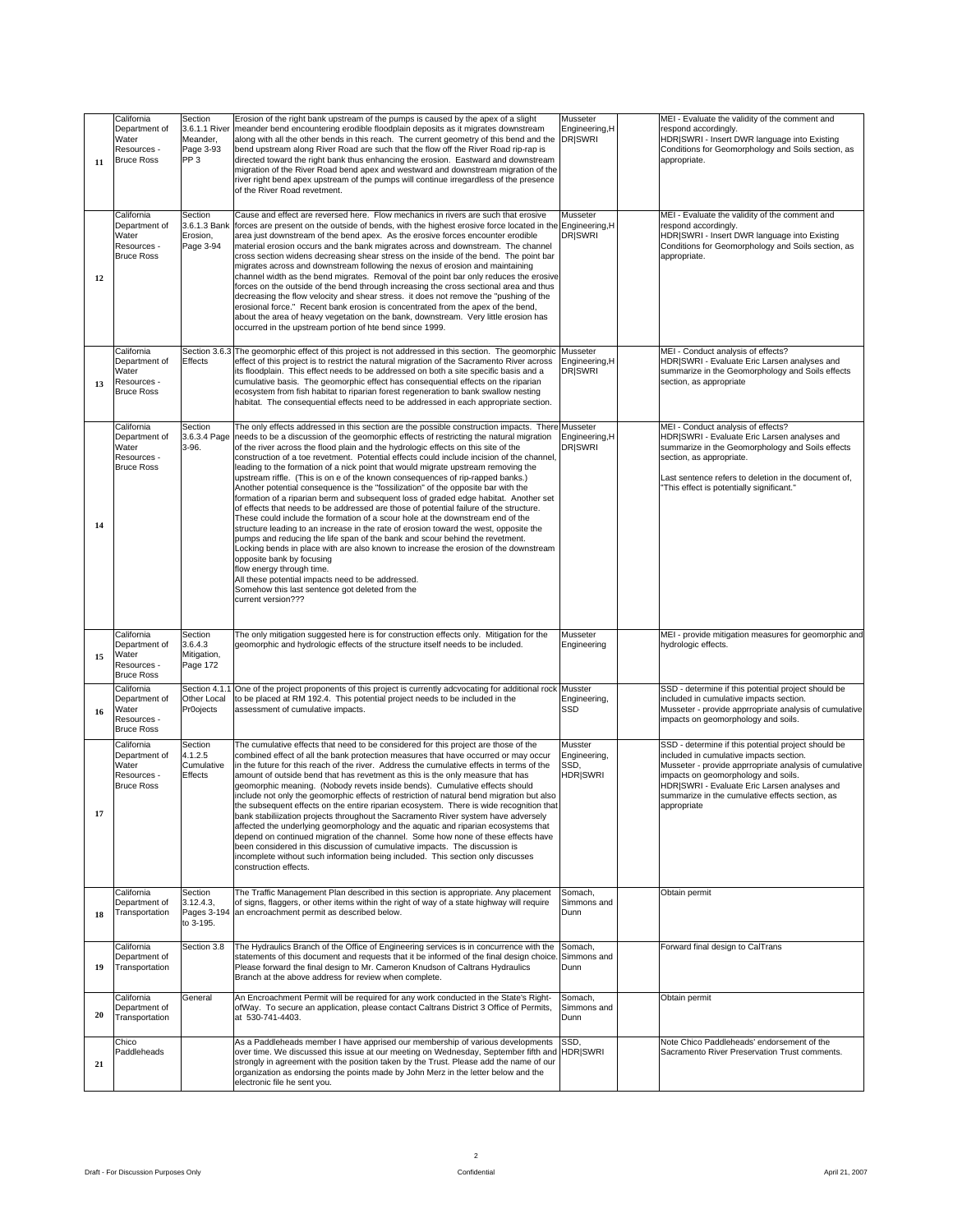| California<br>Section<br>Department of<br>Water<br>Resources -<br>11 Bruce Ross<br>PP3                                | Erosion of the right bank upstream of the pumps is caused by the apex of a slight Musseter<br>3.6.1.1 River   meander bend encountering erodible floodplain deposits as it migrates downstream   Engineering, H<br>Meander, along with all the other bends in this reach. The current geometry of this bend and the DRISWRI<br>Page 3-93 bend upstream along River Road are such that the flow off the River Road rip-rap is<br>directed toward the right bank thus enhancing the erosion. Eastward and downstream<br>migration of the River Road bend apex and westward and downstream migration of the<br>river right bend apex upstream of the pumps will continue irregardless of the presence<br>of the River Road revetment.                                                                                                                                                                                                                                                                                                                                                                                                                                                                                                                                                                                                                                                                                 | MEI - Evaluate the validity of the comment and<br>respond accordingly.<br>HDR SWRI - Insert DWR language into Existing<br>Conditions for Geomorphology and Soils section, as<br>appropriate.                                                                                                                     |
|-----------------------------------------------------------------------------------------------------------------------|--------------------------------------------------------------------------------------------------------------------------------------------------------------------------------------------------------------------------------------------------------------------------------------------------------------------------------------------------------------------------------------------------------------------------------------------------------------------------------------------------------------------------------------------------------------------------------------------------------------------------------------------------------------------------------------------------------------------------------------------------------------------------------------------------------------------------------------------------------------------------------------------------------------------------------------------------------------------------------------------------------------------------------------------------------------------------------------------------------------------------------------------------------------------------------------------------------------------------------------------------------------------------------------------------------------------------------------------------------------------------------------------------------------------|------------------------------------------------------------------------------------------------------------------------------------------------------------------------------------------------------------------------------------------------------------------------------------------------------------------|
| California<br>Section<br>Water<br>Erosion,<br>Resources -<br><b>Bruce Ross</b>                                        | Cause and effect are reversed here. Flow mechanics in rivers are such that erosive Musseter<br>Department of  3.6.1.3 Bank  forces are present on the outside of bends, with the highest erosive force located in the Engineering, H<br>area just downstream of the bend apex. As the erosive forces encounter erodible DRSWRI<br>Page 3-94   material erosion occurs and the bank migrates across and downstream. The channel<br>cross section widens decreasing shear stress on the inside of the bend. The point bar<br>migrates across and downstream following the nexus of erosion and maintaining<br>channel width as the bend migrates. Removal of the point bar only reduces the erosive<br>forces on the outside of the bend through increasing the cross sectional area and thus<br>decreasing the flow velocity and shear stress. it does not remove the "pushing of the<br>erosional force." Recent bank erosion is concentrated from the apex of the bend,<br>about the area of heavy vegetation on the bank, downstream. Very little erosion has<br>occurred in the upstream portion of hte bend since 1999.                                                                                                                                                                                                                                                                                        | MEI - Evaluate the validity of the comment and<br>respond accordingly.<br>HDR SWRI - Insert DWR language into Existing<br>Conditions for Geomorphology and Soils section, as<br>appropriate.                                                                                                                     |
| California<br>Department of Effects<br><b>Water</b><br>Resources -<br><b>Bruce Ross</b>                               | Section 3.6.3 The geomorphic effect of this project is not addressed in this section. The geomorphic Musseter<br>effect of this project is to restrict the natural migration of the Sacramento River across Engineering, H<br>its floodplain. This effect needs to be addressed on both a site specific basis and a <b>DRSWRI</b><br>cumulative basis. The geomorphic effect has consequential effects on the riparian<br>ecosystem from fish habitat to riparian forest regeneration to bank swallow nesting<br>habitat. The consequential effects need to be addressed in each appropriate section.                                                                                                                                                                                                                                                                                                                                                                                                                                                                                                                                                                                                                                                                                                                                                                                                              | MEI - Conduct analysis of effects?<br>HDR SWRI - Evaluate Eric Larsen analyses and<br>summarize in the Geomorphology and Soils effects<br>section, as appropriate                                                                                                                                                |
| California<br>Section<br>Department of<br>Water<br>$3-96.$<br>Resources -<br><b>Bruce Ross</b>                        | The only effects addressed in this section are the possible construction impacts. There Musseter<br>3.6.3.4 Page needs to be a discussion of the geomorphic effects of restricting the natural migration Engineering, H<br>of the river across the flood plain and the hydrologic effects on this site of the <b>DR</b> SWRI<br>construction of a toe revetment. Potential effects could include incision of the channel,<br>leading to the formation of a nick point that would migrate upstream removing the<br>upstream riffle. (This is on e of the known consequences of rip-rapped banks.)<br>Another potential consequence is the "fossilization" of the opposite bar with the<br>formation of a riparian berm and subsequent loss of graded edge habitat. Another set<br>of effects that needs to be addressed are those of potential failure of the structure.<br>These could include the formation of a scour hole at the downstream end of the<br>structure leading to an increase in the rate of erosion toward the west, opposite the<br>pumps and reducing the life span of the bank and scour behind the revetment.<br>Locking bends in place with are also known to increase the erosion of the downstream<br>opposite bank by focusing<br>flow energy through time.<br>All these potential impacts need to be addressed.<br>Somehow this last sentence got deleted from the<br>current version??? | MEI - Conduct analysis of effects?<br>HDR SWRI - Evaluate Eric Larsen analyses and<br>summarize in the Geomorphology and Soils effects<br>section, as appropriate.<br>Last sentence refers to deletion in the document of,<br>"This effect is potentially significant."                                          |
| California<br>Section<br>Department of 3.6.4.3<br>Water<br>Mitigation<br>Resources -<br>Page 172<br><b>Bruce Ross</b> | The only mitigation suggested here is for construction effects only. Mitigation for the Musseter<br>geomorphic and hydrologic effects of the structure itself needs to be included.<br>Engineering                                                                                                                                                                                                                                                                                                                                                                                                                                                                                                                                                                                                                                                                                                                                                                                                                                                                                                                                                                                                                                                                                                                                                                                                                 | MEI - provide mitigation measures for geomorphic and<br>hydrologic effects.                                                                                                                                                                                                                                      |
| California<br>$\frac{Water}{\text{Resource}}$<br><b>Bruce Ross</b>                                                    | Section 4.1.1 One of the project proponents of this project is currently adcvocating for additional rock Musster<br>Department of Other Local to be placed at RM 192.4. This potential project needs to be included in the<br>Engineering,<br>Pr0ojects assessment of cumulative impacts.                                                                                                                                                                                                                                                                                                                                                                                                                                                                                                                                                                                                                                                                                                                                                                                                                                                                                                                                                                                                                                                                                                                          | SSD - determine if this potential project should be<br>included in cumulative impacts section.<br>Musseter - provide apprropriate analysis of cumulative<br>impacts on geomorphology and soils.                                                                                                                  |
| California<br>Section<br>Department of<br>4.1.2.5<br>Water<br>Effects<br>Resources -<br><b>Bruce Ross</b>             | The cumulative effects that need to be considered for this project are those of the Musster<br>combined effect of all the bank protection measures that have occurred or may occur Engineering,<br>Cumulative in the future for this reach of the river. Address the cumulative effects in terms of the SSD,<br>amount of outside bend that has revetment as this is the only measure that has HDR SWRI<br>geomorphic meaning. (Nobody revets inside bends). Cumulative effects should<br>include not only the geomorphic effects of restriction of natural bend migration but also<br>the subsequent effects on the entire riparian ecosystem. There is wide recognition that<br>bank stabiliization projects throughout the Sacramento River system have adversely<br>affected the underlying geomorphology and the aquatic and riparian ecosystems that<br>depend on continued migration of the channel. Some how none of these effects have<br>been considered in this discussion of cumulative impacts. The discussion is<br>incomplete without such information being included. This section only discusses<br>construction effects.                                                                                                                                                                                                                                                                         | SSD - determine if this potential project should be<br>included in cumulative impacts section.<br>Musseter - provide apprropriate analysis of cumulative<br>impacts on geomorphology and soils.<br>HDR SWRI - Evaluate Eric Larsen analyses and<br>summarize in the cumulative effects section, as<br>арргорпате |
| California<br>Section<br>to 3-195.                                                                                    | The Traffic Management Plan described in this section is appropriate. Any placement Somach,<br>Department of 3.12.4.3, of signs, flaggers, or other items within the right of way of a state highway will require Simmons and<br>18 Transportation Pages 3-194 an encroachment permit as described below.                                                                                                                                                                                                                                                                                                                                                                                                                                                                                                                                                                                                                                                                                                                                                                                                                                                                                                                                                                                                                                                                                                          | Obtain permit                                                                                                                                                                                                                                                                                                    |
| California<br>Department of<br>19 Transportation                                                                      | Section 3.8 The Hydraulics Branch of the Office of Engineering services is in concurrence with the Somach,<br>statements of this document and requests that it be informed of the final design choice. Simmons and<br>Please forward the final design to Mr. Cameron Knudson of Caltrans Hydraulics   Dunn<br>Branch at the above address for review when complete.                                                                                                                                                                                                                                                                                                                                                                                                                                                                                                                                                                                                                                                                                                                                                                                                                                                                                                                                                                                                                                                | orward final design to CalTrans                                                                                                                                                                                                                                                                                  |
| California<br>General<br>Department of<br><sup>20</sup> Transportation                                                | An Encroachment Permit will be required for any work conducted in the State's Right- Somach,<br>ofWay. To secure an application, please contact Caltrans District 3 Office of Permits, Simmons and<br>at 530-741-4403.                                                                                                                                                                                                                                                                                                                                                                                                                                                                                                                                                                                                                                                                                                                                                                                                                                                                                                                                                                                                                                                                                                                                                                                             | Obtain permit                                                                                                                                                                                                                                                                                                    |
| Chico<br>Paddleheads                                                                                                  | As a Paddleheads member I have apprised our membership of various developments SS<br>over time. We discussed this issue at our meeting on Wednesday, September fifth and HDR SWRI<br>strongly in agreement with the position taken by the Trust. Please add the name of our<br>organization as endorsing the points made by John Merz in the letter below and the<br>electronic file he sent you.                                                                                                                                                                                                                                                                                                                                                                                                                                                                                                                                                                                                                                                                                                                                                                                                                                                                                                                                                                                                                  | Note Chico Paddleheads' endorsement of the<br>Sacramento River Preservation Trust comments.                                                                                                                                                                                                                      |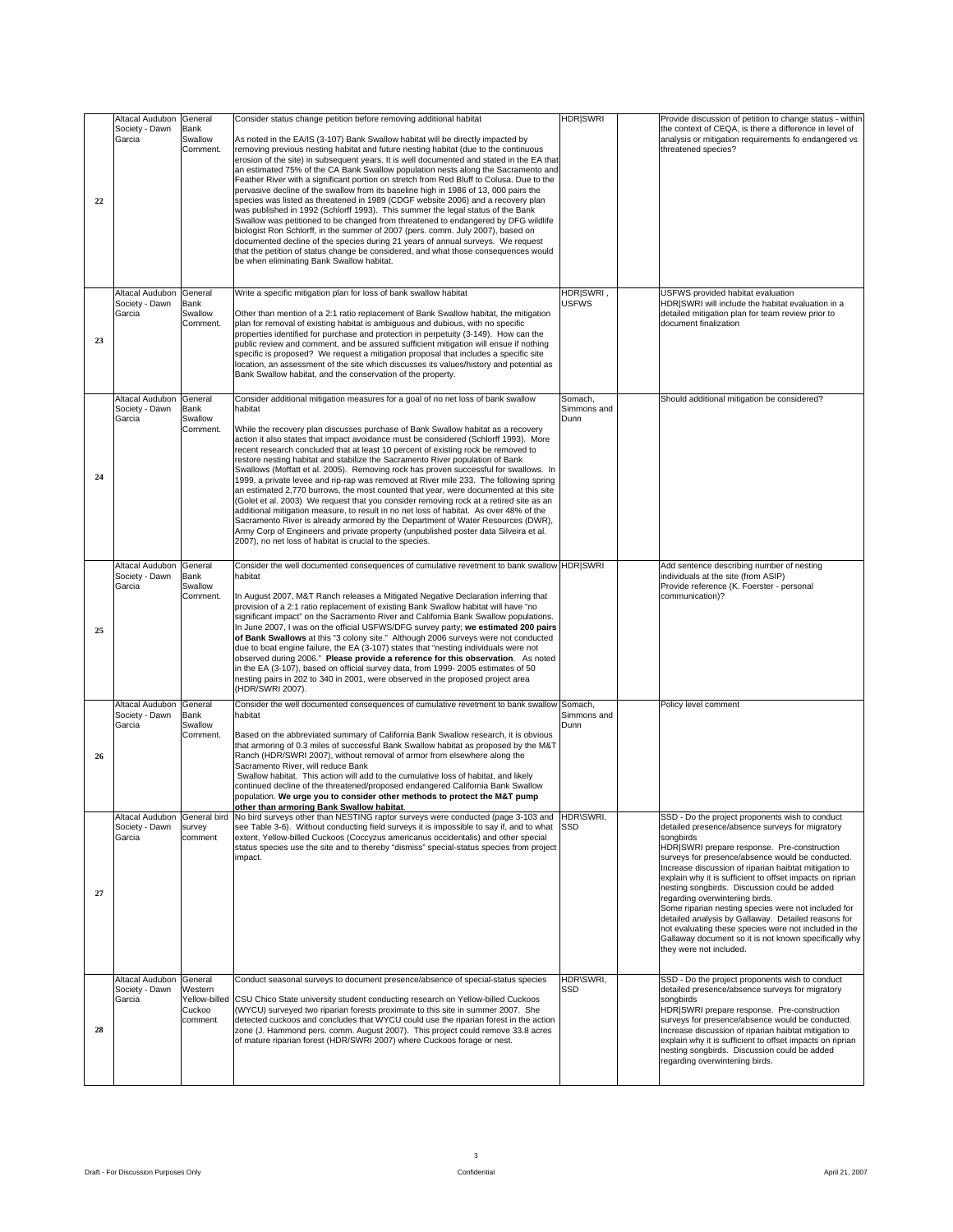|                                          | <b>HDRISWRI</b><br>Altacal Audubon General Consider status change petition before removing additional habitat                                                                                                                                       | Provide discussion of petition to change status - within                                                     |
|------------------------------------------|-----------------------------------------------------------------------------------------------------------------------------------------------------------------------------------------------------------------------------------------------------|--------------------------------------------------------------------------------------------------------------|
| Society - Dawn Bank                      |                                                                                                                                                                                                                                                     | the context of CEQA, is there a difference in level of                                                       |
| Garcia<br>Swallow                        | As noted in the EA/IS (3-107) Bank Swallow habitat will be directly impacted by<br>Comment. removing previous nesting habitat and future nesting habitat (due to the continuous                                                                     | analysis or mitigation requirements fo endangered vs  <br>threatened species?                                |
|                                          | erosion of the site) in subsequent years. It is well documented and stated in the EA that                                                                                                                                                           |                                                                                                              |
|                                          | an estimated 75% of the CA Bank Swallow population nests along the Sacramento and<br>Feather River with a significant portion on stretch from Red Bluff to Colusa. Due to the                                                                       |                                                                                                              |
|                                          | pervasive decline of the swallow from its baseline high in 1986 of 13, 000 pairs the<br>species was listed as threatened in 1989 (CDGF website 2006) and a recovery plan                                                                            |                                                                                                              |
|                                          | was published in 1992 (Schlorff 1993). This summer the legal status of the Bank                                                                                                                                                                     |                                                                                                              |
|                                          | Swallow was petitioned to be changed from threatened to endangered by DFG wildlife<br>biologist Ron Schlorff, in the summer of 2007 (pers. comm. July 2007), based on                                                                               |                                                                                                              |
|                                          | documented decline of the species during 21 years of annual surveys. We request                                                                                                                                                                     |                                                                                                              |
|                                          | that the petition of status change be considered, and what those consequences would<br>be when eliminating Bank Swallow habitat.                                                                                                                    |                                                                                                              |
|                                          |                                                                                                                                                                                                                                                     |                                                                                                              |
| Altacal Audubon General                  | Write a specific mitigation plan for loss of bank swallow habitat<br>HDRISWRI.                                                                                                                                                                      | USFWS provided habitat evaluation                                                                            |
| Society - Dawn Bank                      | <b>USFWS</b>                                                                                                                                                                                                                                        | HDR SWRI will include the habitat evaluation in a                                                            |
| Garcia<br>Swallow                        | Other than mention of a 2:1 ratio replacement of Bank Swallow habitat, the mitigation<br>Comment. plan for removal of existing habitat is ambiguous and dubious, with no specific                                                                   | detailed mitigation plan for team review prior to<br>document finalization                                   |
|                                          | properties identified for purchase and protection in perpetuity (3-149). How can the                                                                                                                                                                |                                                                                                              |
|                                          | public review and comment, and be assured sufficient mitigation will ensue if nothing<br>specific is proposed? We request a mitigation proposal that includes a specific site                                                                       |                                                                                                              |
|                                          | location, an assessment of the site which discusses its values/history and potential as                                                                                                                                                             |                                                                                                              |
|                                          | Bank Swallow habitat, and the conservation of the property.                                                                                                                                                                                         |                                                                                                              |
| Altacal Audubon General                  | Consider additional mitigation measures for a goal of no net loss of bank swallow<br>Somach,                                                                                                                                                        | Should additional mitigation be considered?                                                                  |
| Society - Dawn Bank                      | Simmons and<br>habitat                                                                                                                                                                                                                              |                                                                                                              |
| Garcia<br>Swallow                        | Comment.<br>While the recovery plan discusses purchase of Bank Swallow habitat as a recovery                                                                                                                                                        |                                                                                                              |
|                                          | action it also states that impact avoidance must be considered (Schlorff 1993). More                                                                                                                                                                |                                                                                                              |
|                                          | recent research concluded that at least 10 percent of existing rock be removed to<br>restore nesting habitat and stabilize the Sacramento River population of Bank                                                                                  |                                                                                                              |
|                                          | Swallows (Moffatt et al. 2005). Removing rock has proven successful for swallows. In                                                                                                                                                                |                                                                                                              |
|                                          | 1999, a private levee and rip-rap was removed at River mile 233. The following spring<br>an estimated 2,770 burrows, the most counted that year, were documented at this site                                                                       |                                                                                                              |
|                                          | (Golet et al. 2003) We request that you consider removing rock at a retired site as an                                                                                                                                                              |                                                                                                              |
|                                          | additional mitigation measure, to result in no net loss of habitat. As over 48% of the<br>Sacramento River is already armored by the Department of Water Resources (DWR),                                                                           |                                                                                                              |
|                                          | Army Corp of Engineers and private property (unpublished poster data Silveira et al.                                                                                                                                                                |                                                                                                              |
|                                          | 2007), no net loss of habitat is crucial to the species.                                                                                                                                                                                            |                                                                                                              |
| Altacal Audubon General                  | Consider the well documented consequences of cumulative revetment to bank swallow HDR SWRI                                                                                                                                                          | Add sentence describing number of nesting                                                                    |
| Society - Dawn Bank<br>Garcia<br>Swallow | habitat                                                                                                                                                                                                                                             | individuals at the site (from ASIP)<br>Provide reference (K. Foerster - personal                             |
|                                          | In August 2007, M&T Ranch releases a Mitigated Negative Declaration inferring that<br>Comment.                                                                                                                                                      | communication)?                                                                                              |
|                                          | provision of a 2:1 ratio replacement of existing Bank Swallow habitat will have "no<br>significant impact" on the Sacramento River and California Bank Swallow populations.                                                                         |                                                                                                              |
|                                          | In June 2007, I was on the official USFWS/DFG survey party; we estimated 200 pairs                                                                                                                                                                  |                                                                                                              |
|                                          | of Bank Swallows at this "3 colony site." Although 2006 surveys were not conducted                                                                                                                                                                  |                                                                                                              |
|                                          | due to boat engine failure, the EA (3-107) states that "nesting individuals were not<br>observed during 2006." Please provide a reference for this observation. As noted                                                                            |                                                                                                              |
|                                          | in the EA (3-107), based on official survey data, from 1999-2005 estimates of 50                                                                                                                                                                    |                                                                                                              |
|                                          | nesting pairs in 202 to 340 in 2001, were observed in the proposed project area<br>(HDR/SWRI 2007).                                                                                                                                                 |                                                                                                              |
| Altacal Audubon General                  | Consider the well documented consequences of cumulative revetment to bank swallow Somach,                                                                                                                                                           | Policy level comment                                                                                         |
| Society - Dawn Bank                      | habitat<br>Simmons and                                                                                                                                                                                                                              |                                                                                                              |
| Swallow<br>Garcia<br>Comment.            | Based on the abbreviated summary of California Bank Swallow research, it is obvious                                                                                                                                                                 |                                                                                                              |
|                                          | that armoring of 0.3 miles of successful Bank Swallow habitat as proposed by the M&T                                                                                                                                                                |                                                                                                              |
|                                          | Ranch (HDR/SWRI 2007), without removal of armor from elsewhere along the<br>Sacramento River, will reduce Bank                                                                                                                                      |                                                                                                              |
|                                          | Swallow habitat. This action will add to the cumulative loss of habitat, and likely                                                                                                                                                                 |                                                                                                              |
|                                          | continued decline of the threatened/proposed endangered California Bank Swallow<br>population. We urge you to consider other methods to protect the M&T pump                                                                                        |                                                                                                              |
|                                          | other than armoring Bank Swallow habitat.                                                                                                                                                                                                           |                                                                                                              |
|                                          | Altacal Audubon   General bird   No bird surveys other than NESTING raptor surveys were conducted (page 3-103 and   HDR\SWRI,<br>Society - Dawn Survey See Table 3-6). Without conducting field surveys it is impossible to say if, and to what SSD | SSD - Do the project proponents wish to conduct<br>detailed presence/absence surveys for migratory           |
| Garcia                                   | comment extent, Yellow-billed Cuckoos (Coccyzus americanus occidentalis) and other special                                                                                                                                                          | sonabirds                                                                                                    |
|                                          | status species use the site and to thereby "dismiss" special-status species from project                                                                                                                                                            | HDR SWRI prepare response. Pre-construction                                                                  |
|                                          |                                                                                                                                                                                                                                                     | surveys for presence/absence would be conducted.<br>Increase discussion of riparian haibtat mitigation to    |
|                                          |                                                                                                                                                                                                                                                     | explain why it is sufficient to offset impacts on riprian                                                    |
| 27                                       |                                                                                                                                                                                                                                                     | nesting songbirds. Discussion could be added<br>regarding overwinteriing birds.                              |
|                                          |                                                                                                                                                                                                                                                     | Some riparian nesting species were not included for                                                          |
|                                          |                                                                                                                                                                                                                                                     | detailed analysis by Gallaway. Detailed reasons for<br>not evaluating these species were not included in the |
|                                          |                                                                                                                                                                                                                                                     | Gallaway document so it is not known specifically why                                                        |
|                                          |                                                                                                                                                                                                                                                     | they were not included.                                                                                      |
|                                          |                                                                                                                                                                                                                                                     | SSD - Do the project proponents wish to conduct                                                              |
| Society - Dawn Western                   | Altacal Audubon   General   Conduct seasonal surveys to document presence/absence of special-status species   HDR\SWRI,                                                                                                                             | detailed presence/absence surveys for migratory                                                              |
| Garcia                                   | Yellow-billed CSU Chico State university student conducting research on Yellow-billed Cuckoos                                                                                                                                                       | songbirds                                                                                                    |
| Cuckoo                                   | (WYCU) surveyed two riparian forests proximate to this site in summer 2007. She<br>comment<br>detected cuckoos and concludes that WYCU could use the riparian forest in the action                                                                  | HDR SWRI prepare response. Pre-construction<br>surveys for presence/absence would be conducted.              |
|                                          | zone (J. Hammond pers. comm. August 2007). This project could remove 33.8 acres                                                                                                                                                                     | Increase discussion of riparian haibtat mitigation to                                                        |
|                                          | of mature riparian forest (HDR/SWRI 2007) where Cuckoos forage or nest.                                                                                                                                                                             | explain why it is sufficient to offset impacts on riprian<br>nesting songbirds. Discussion could be added    |
|                                          |                                                                                                                                                                                                                                                     | regarding overwinteriing birds.                                                                              |
|                                          |                                                                                                                                                                                                                                                     |                                                                                                              |
|                                          |                                                                                                                                                                                                                                                     |                                                                                                              |
|                                          |                                                                                                                                                                                                                                                     |                                                                                                              |
|                                          |                                                                                                                                                                                                                                                     |                                                                                                              |
|                                          |                                                                                                                                                                                                                                                     |                                                                                                              |
|                                          | $\mathbf{3}$                                                                                                                                                                                                                                        |                                                                                                              |
| Draft - For Discussion Purposes Only     | Confidential                                                                                                                                                                                                                                        | April 21, 2007                                                                                               |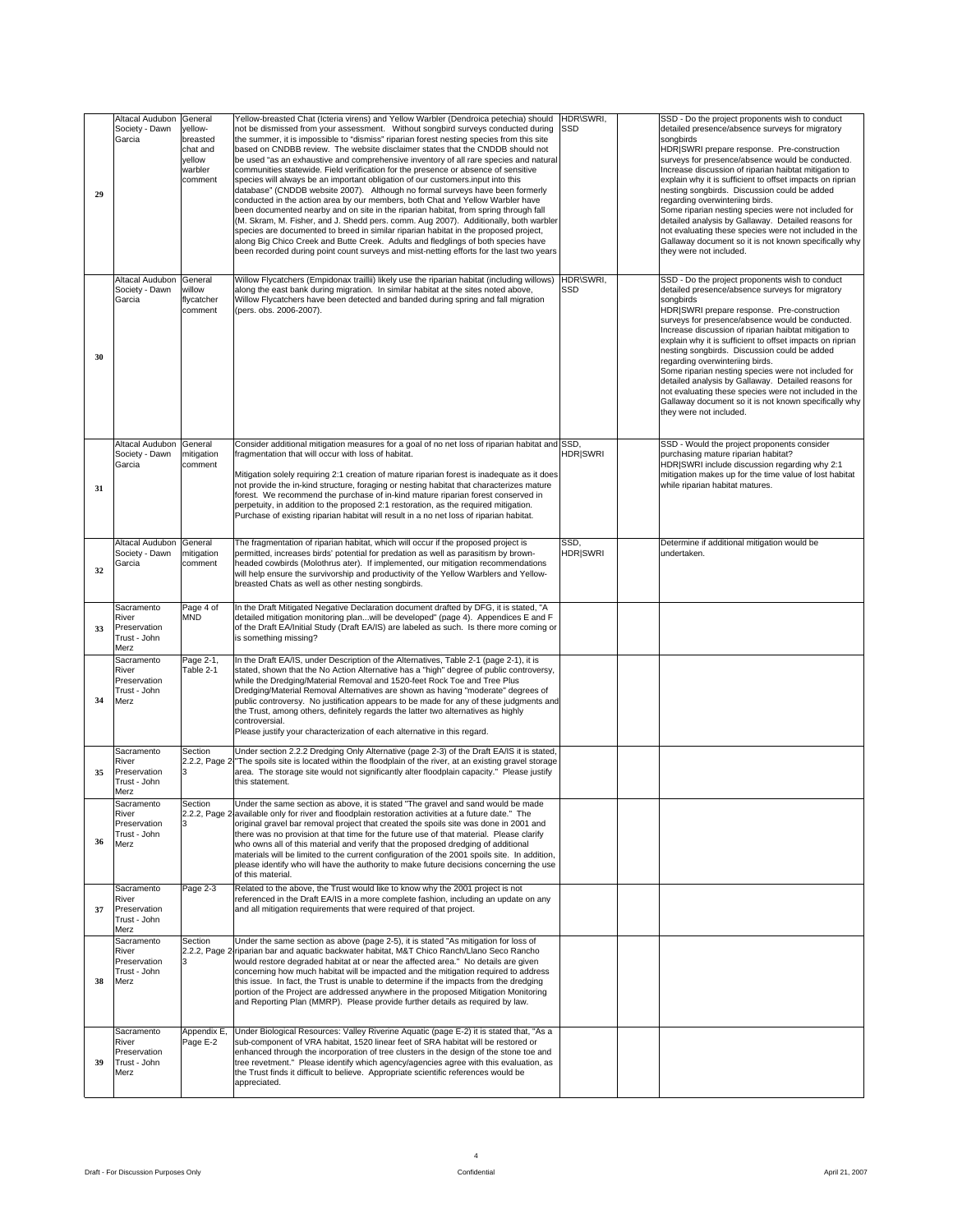| Altacal Audubon General         | Yellow-breasted Chat (Icteria virens) and Yellow Warbler (Dendroica petechia) should  HDR\SWRI,                                                                                                                    | SSD - Do the project proponents wish to conduct                                                              |  |  |  |
|---------------------------------|--------------------------------------------------------------------------------------------------------------------------------------------------------------------------------------------------------------------|--------------------------------------------------------------------------------------------------------------|--|--|--|
| Society - Dawn yellow-          | not be dismissed from your assessment. Without songbird surveys conducted during SSD                                                                                                                               | detailed presence/absence surveys for migratory                                                              |  |  |  |
| Garcia                          | breasted<br>the summer, it is impossible to "dismiss" riparian forest nesting species from this site                                                                                                               |                                                                                                              |  |  |  |
|                                 | based on CNDBB review. The website disclaimer states that the CNDDB should not<br>chat and                                                                                                                         | HDR SWRI prepare response. Pre-construction                                                                  |  |  |  |
|                                 | yellow<br>be used "as an exhaustive and comprehensive inventory of all rare species and natural<br>warbler<br>communities statewide. Field verification for the presence or absence of sensitive                   | surveys for presence/absence would be conducted.<br>Increase discussion of riparian haibtat mitigation to    |  |  |  |
|                                 | comment<br>species will always be an important obligation of our customers input into this                                                                                                                         | explain why it is sufficient to offset impacts on riprian                                                    |  |  |  |
|                                 | database" (CNDDB website 2007). Although no formal surveys have been formerly                                                                                                                                      | nesting songbirds. Discussion could be added                                                                 |  |  |  |
|                                 | conducted in the action area by our members, both Chat and Yellow Warbler have<br>been documented nearby and on site in the riparian habitat, from spring through fall                                             | regarding overwinteriing birds.<br>Some riparian nesting species were not included for                       |  |  |  |
|                                 | (M. Skram, M. Fisher, and J. Shedd pers. comm. Aug 2007). Additionally, both warbler                                                                                                                               | detailed analysis by Gallaway. Detailed reasons for                                                          |  |  |  |
|                                 | species are documented to breed in similar riparian habitat in the proposed project,                                                                                                                               | not evaluating these species were not included in the                                                        |  |  |  |
|                                 | along Big Chico Creek and Butte Creek. Adults and fledglings of both species have<br>been recorded during point count surveys and mist-netting efforts for the last two years                                      | Gallaway document so it is not known specifically why<br>they were not included.                             |  |  |  |
|                                 |                                                                                                                                                                                                                    |                                                                                                              |  |  |  |
| Altacal Audubon General         | Willow Flycatchers (Empidonax traillii) likely use the riparian habitat (including willows) HDR\SWRI,                                                                                                              | SSD - Do the project proponents wish to conduct                                                              |  |  |  |
| Society - Dawn willow           | along the east bank during migration. In similar habitat at the sites noted above,                                                                                                                                 | detailed presence/absence surveys for migratory                                                              |  |  |  |
| Garcia                          | flycatcher<br>Willow Flycatchers have been detected and banded during spring and fall migration                                                                                                                    | songbirds<br>HDR SWRI prepare response. Pre-construction                                                     |  |  |  |
|                                 | (pers. obs. 2006-2007).<br>comment                                                                                                                                                                                 | surveys for presence/absence would be conducted.                                                             |  |  |  |
|                                 |                                                                                                                                                                                                                    | Increase discussion of riparian haibtat mitigation to                                                        |  |  |  |
|                                 |                                                                                                                                                                                                                    | explain why it is sufficient to offset impacts on riprian<br>nesting songbirds. Discussion could be added    |  |  |  |
|                                 |                                                                                                                                                                                                                    | regarding overwinteriing birds.                                                                              |  |  |  |
|                                 |                                                                                                                                                                                                                    | Some riparian nesting species were not included for                                                          |  |  |  |
|                                 |                                                                                                                                                                                                                    | detailed analysis by Gallaway. Detailed reasons for<br>not evaluating these species were not included in the |  |  |  |
|                                 |                                                                                                                                                                                                                    | Gallaway document so it is not known specifically why                                                        |  |  |  |
|                                 |                                                                                                                                                                                                                    | they were not included.                                                                                      |  |  |  |
|                                 |                                                                                                                                                                                                                    |                                                                                                              |  |  |  |
| Altacal Audubon General         | Consider additional mitigation measures for a goal of no net loss of riparian habitat and SSD,                                                                                                                     | SSD - Would the project proponents consider                                                                  |  |  |  |
|                                 | <b>HDRISWRI</b><br>Society - Dawn mitigation fragmentation that will occur with loss of habitat.                                                                                                                   | purchasing mature riparian habitat?                                                                          |  |  |  |
| Garcia                          | comment<br>Mitigation solely requiring 2:1 creation of mature riparian forest is inadequate as it does                                                                                                             | HDR SWRI include discussion regarding why 2:1<br>mitigation makes up for the time value of lost habitat      |  |  |  |
|                                 | not provide the in-kind structure, foraging or nesting habitat that characterizes mature                                                                                                                           | while riparian habitat matures.                                                                              |  |  |  |
|                                 | forest. We recommend the purchase of in-kind mature riparian forest conserved in                                                                                                                                   |                                                                                                              |  |  |  |
|                                 | perpetuity, in addition to the proposed 2:1 restoration, as the required mitigation.<br>Purchase of existing riparian habitat will result in a no net loss of riparian habitat.                                    |                                                                                                              |  |  |  |
|                                 |                                                                                                                                                                                                                    |                                                                                                              |  |  |  |
| Altacal Audubon General         | The fragmentation of riparian habitat, which will occur if the proposed project is                                                                                                                                 | Determine if additional mitigation would be                                                                  |  |  |  |
| Society - Dawn mitigation       | <b>HDRISWRI</b><br>permitted, increases birds' potential for predation as well as parasitism by brown-                                                                                                             | undertaken.                                                                                                  |  |  |  |
| Garcia                          | headed cowbirds (Molothrus ater). If implemented, our mitigation recommendations<br>comment                                                                                                                        |                                                                                                              |  |  |  |
|                                 | will help ensure the survivorship and productivity of the Yellow Warblers and Yellow-<br>breasted Chats as well as other nesting songbirds.                                                                        |                                                                                                              |  |  |  |
|                                 |                                                                                                                                                                                                                    |                                                                                                              |  |  |  |
| Sacramento                      | Page 4 of In the Draft Mitigated Negative Declaration document drafted by DFG, it is stated, "A                                                                                                                    |                                                                                                              |  |  |  |
| River                           | detailed mitigation monitoring planwill be developed" (page 4). Appendices E and F<br><b>MND</b>                                                                                                                   |                                                                                                              |  |  |  |
| Preservation<br>Trust - John    | of the Draft EA/Initial Study (Draft EA/IS) are labeled as such. Is there more coming or<br>is something missing?                                                                                                  |                                                                                                              |  |  |  |
| Merz                            |                                                                                                                                                                                                                    |                                                                                                              |  |  |  |
| Sacramento                      | Page 2-1, In the Draft EA/IS, under Description of the Alternatives, Table 2-1 (page 2-1), it is                                                                                                                   |                                                                                                              |  |  |  |
| River<br>Preservation           | Table 2-1<br>stated, shown that the No Action Alternative has a "high" degree of public controversy,<br>while the Dredging/Material Removal and 1520-feet Rock Toe and Tree Plus                                   |                                                                                                              |  |  |  |
| Trust - John                    | Dredging/Material Removal Alternatives are shown as having "moderate" degrees of                                                                                                                                   |                                                                                                              |  |  |  |
| 34 Merz                         | public controversy. No justification appears to be made for any of these judgments and                                                                                                                             |                                                                                                              |  |  |  |
|                                 | the Trust, among others, definitely regards the latter two alternatives as highly<br>controversial.                                                                                                                |                                                                                                              |  |  |  |
|                                 | Please justify your characterization of each alternative in this regard.                                                                                                                                           |                                                                                                              |  |  |  |
|                                 |                                                                                                                                                                                                                    |                                                                                                              |  |  |  |
| Sacramento<br>River             | Under section 2.2.2 Dredging Only Alternative (page 2-3) of the Draft EA/IS it is stated,<br>Section<br>2.2.2. Page 2 The spoils site is located within the floodplain of the river, at an existing gravel storage |                                                                                                              |  |  |  |
| 35 Preservation                 | area. The storage site would not significantly alter floodplain capacity." Please justify                                                                                                                          |                                                                                                              |  |  |  |
| Trust - John                    | this statement.                                                                                                                                                                                                    |                                                                                                              |  |  |  |
|                                 | Sacramento Section Under the same section as above, it is stated "The gravel and sand would be made                                                                                                                |                                                                                                              |  |  |  |
| River                           | 2.2.2, Page 2 available only for river and floodplain restoration activities at a future date." The                                                                                                                |                                                                                                              |  |  |  |
| Preservation                    | original gravel bar removal project that created the spoils site was done in 2001 and                                                                                                                              |                                                                                                              |  |  |  |
| Trust - John<br>36 Merz         | there was no provision at that time for the future use of that material. Please clarify<br>who owns all of this material and verify that the proposed dredging of additional                                       |                                                                                                              |  |  |  |
|                                 | materials will be limited to the current configuration of the 2001 spoils site. In addition,                                                                                                                       |                                                                                                              |  |  |  |
|                                 | please identify who will have the authority to make future decisions concerning the use<br>of this material.                                                                                                       |                                                                                                              |  |  |  |
|                                 |                                                                                                                                                                                                                    |                                                                                                              |  |  |  |
| Sacramento<br>River             | Page 2-3<br>Related to the above, the Trust would like to know why the 2001 project is not<br>referenced in the Draft EA/IS in a more complete fashion, including an update on any                                 |                                                                                                              |  |  |  |
| Preservation                    | and all mitigation requirements that were required of that project.                                                                                                                                                |                                                                                                              |  |  |  |
| Trust - John<br>Merz            |                                                                                                                                                                                                                    |                                                                                                              |  |  |  |
| Sacramento                      | Section<br>Under the same section as above (page 2-5), it is stated "As mitigation for loss of                                                                                                                     |                                                                                                              |  |  |  |
| River                           | 2.2.2, Page 2 riparian bar and aquatic backwater habitat, M&T Chico Ranch/Llano Seco Rancho                                                                                                                        |                                                                                                              |  |  |  |
| Preservation                    | would restore degraded habitat at or near the affected area." No details are given                                                                                                                                 |                                                                                                              |  |  |  |
| Trust - John<br>38 Merz         | concerning how much habitat will be impacted and the mitigation required to address<br>this issue. In fact, the Trust is unable to determine if the impacts from the dredging                                      |                                                                                                              |  |  |  |
|                                 | portion of the Project are addressed anywhere in the proposed Mitigation Monitoring                                                                                                                                |                                                                                                              |  |  |  |
|                                 | and Reporting Plan (MMRP). Please provide further details as required by law.                                                                                                                                      |                                                                                                              |  |  |  |
|                                 |                                                                                                                                                                                                                    |                                                                                                              |  |  |  |
| Sacramento                      | Appendix E, Under Biological Resources: Valley Riverine Aquatic (page E-2) it is stated that, "As a                                                                                                                |                                                                                                              |  |  |  |
| River                           | Page E-2 sub-component of VRA habitat, 1520 linear feet of SRA habitat will be restored or                                                                                                                         |                                                                                                              |  |  |  |
| Preservation<br>39 Trust - John | enhanced through the incorporation of tree clusters in the design of the stone toe and<br>tree revetment." Please identify which agency/agencies agree with this evaluation, as                                    |                                                                                                              |  |  |  |
|                                 | the Trust finds it difficult to believe. Appropriate scientific references would be                                                                                                                                |                                                                                                              |  |  |  |
|                                 | appreciated.                                                                                                                                                                                                       |                                                                                                              |  |  |  |
|                                 |                                                                                                                                                                                                                    |                                                                                                              |  |  |  |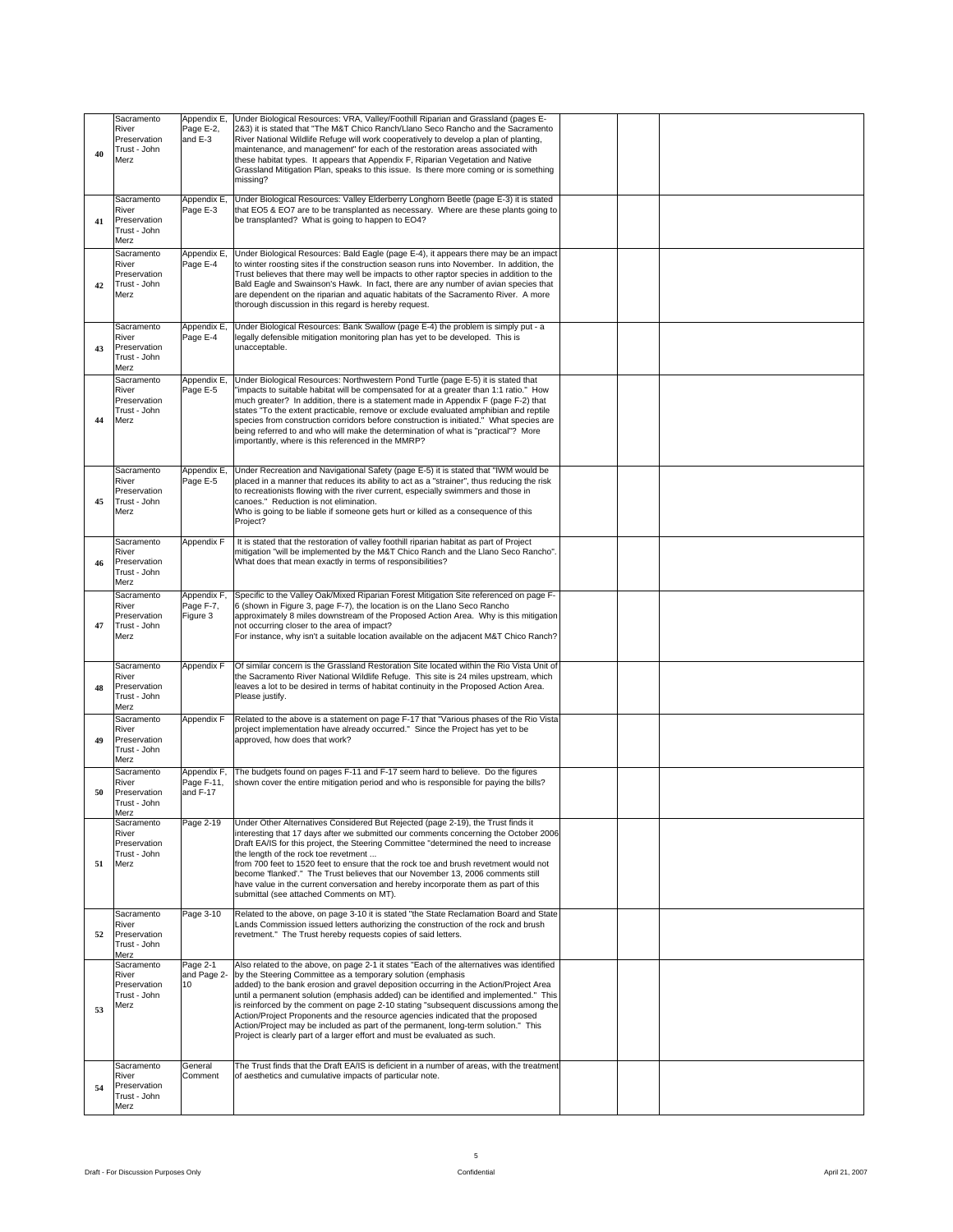| Sacramento<br>River<br>Preservation<br>$40$ Trust - John              | Page E-2,<br>and E-3                 | Appendix E, Under Biological Resources: VRA, Valley/Foothill Riparian and Grassland (pages E-<br>2&3) it is stated that "The M&T Chico Ranch/Llano Seco Rancho and the Sacramento<br>River National Wildlife Refuge will work cooperatively to develop a plan of planting,<br>maintenance, and management" for each of the restoration areas associated with<br>these habitat types. It appears that Appendix F, Riparian Vegetation and Native<br>Grassland Mitigation Plan, speaks to this issue. Is there more coming or is something<br>missing?                                                                                                                                                          |  |  |  |
|-----------------------------------------------------------------------|--------------------------------------|---------------------------------------------------------------------------------------------------------------------------------------------------------------------------------------------------------------------------------------------------------------------------------------------------------------------------------------------------------------------------------------------------------------------------------------------------------------------------------------------------------------------------------------------------------------------------------------------------------------------------------------------------------------------------------------------------------------|--|--|--|
| Sacramento<br>River<br>41 Preservation<br>Trust - John<br>Merz        | Page E-3                             | Appendix E, Under Biological Resources: Valley Elderberry Longhorn Beetle (page E-3) it is stated<br>that EO5 & EO7 are to be transplanted as necessary. Where are these plants going to<br>be transplanted? What is going to happen to EO4?                                                                                                                                                                                                                                                                                                                                                                                                                                                                  |  |  |  |
| Sacramento<br>River<br>Preservation<br>42 Trust - John<br>Merz        |                                      | Appendix E, Under Biological Resources: Bald Eagle (page E-4), it appears there may be an impact<br>Page E-4 to winter roosting sites if the construction season runs into November. In addition, the<br>Trust believes that there may well be impacts to other raptor species in addition to the<br>Bald Eagle and Swainson's Hawk. In fact, there are any number of avian species that<br>are dependent on the riparian and aquatic habitats of the Sacramento River. A more<br>thorough discussion in this regard is hereby request.                                                                                                                                                                       |  |  |  |
| Sacramento<br>River<br>43 Preservation<br>Trust - John<br>Merz        |                                      | Appendix E, Under Biological Resources: Bank Swallow (page E-4) the problem is simply put - a<br>Page E-4   legally defensible mitigation monitoring plan has yet to be developed. This is<br>unacceptable.                                                                                                                                                                                                                                                                                                                                                                                                                                                                                                   |  |  |  |
| Sacramento<br>River<br>Preservation<br>Trust - John<br>44 Merz        |                                      | Appendix E, Under Biological Resources: Northwestern Pond Turtle (page E-5) it is stated that<br>Page E-5   "impacts to suitable habitat will be compensated for at a greater than 1:1 ratio." How<br>much greater? In addition, there is a statement made in Appendix F (page F-2) that<br>states "To the extent practicable, remove or exclude evaluated amphibian and reptile<br>species from construction corridors before construction is initiated." What species are<br>being referred to and who will make the determination of what is "practical"? More<br>importantly, where is this referenced in the MMRP?                                                                                       |  |  |  |
| Sacramento<br>River<br>Preservation<br>45 Trust - John<br>Merz        |                                      | Appendix E, Under Recreation and Navigational Safety (page E-5) it is stated that "IWM would be<br>Page E-5   placed in a manner that reduces its ability to act as a "strainer", thus reducing the risk<br>to recreationists flowing with the river current, especially swimmers and those in<br>canoes." Reduction is not elimination.<br>Who is going to be liable if someone gets hurt or killed as a consequence of this<br>Project?                                                                                                                                                                                                                                                                     |  |  |  |
| Sacramento<br><b>River</b><br>46 Preservation<br>Trust - John<br>Merz | Appendix F                           | It is stated that the restoration of valley foothill riparian habitat as part of Project<br>mitigation "will be implemented by the M&T Chico Ranch and the Llano Seco Rancho".<br>What does that mean exactly in terms of responsibilities?                                                                                                                                                                                                                                                                                                                                                                                                                                                                   |  |  |  |
| Sacramento<br>River<br>Preservation<br>47 Trust - John<br>Merz        | Appendix F,<br>Page F-7,<br>Figure 3 | Specific to the Valley Oak/Mixed Riparian Forest Mitigation Site referenced on page F-<br>6 (shown in Figure 3, page F-7), the location is on the Llano Seco Rancho<br>approximately 8 miles downstream of the Proposed Action Area. Why is this mitigation<br>not occurring closer to the area of impact?<br>For instance, why isn't a suitable location available on the adjacent M&T Chico Ranch?                                                                                                                                                                                                                                                                                                          |  |  |  |
| Sacramento<br>48 Preservation<br>Trust - John<br>Merz                 |                                      | Appendix F   Of similar concern is the Grassland Restoration Site located within the Rio Vista Unit of<br>the Sacramento River National Wildlife Refuge. This site is 24 miles upstream, which<br>leaves a lot to be desired in terms of habitat continuity in the Proposed Action Area.<br>Please justify.                                                                                                                                                                                                                                                                                                                                                                                                   |  |  |  |
| Sacramento<br>River<br>49 Preservation<br>Trust - John<br>Merz        |                                      | Appendix F Related to the above is a statement on page F-17 that "Various phases of the Rio Vista<br>project implementation have already occurred." Since the Project has yet to be<br>approved, how does that work?                                                                                                                                                                                                                                                                                                                                                                                                                                                                                          |  |  |  |
| Sacramento<br>River<br>50 Preservation<br>Trust - John<br>Merz        | and F-17                             | Appendix F, The budgets found on pages F-11 and F-17 seem hard to believe. Do the figures<br>Page F-11, shown cover the entire mitigation period and who is responsible for paying the bills?                                                                                                                                                                                                                                                                                                                                                                                                                                                                                                                 |  |  |  |
| Sacramento<br>River<br>Preservation<br>Trust - John<br>51 Merz        |                                      | Page 2-19 Under Other Alternatives Considered But Rejected (page 2-19), the Trust finds it<br>interesting that 17 days after we submitted our comments concerning the October 2006<br>Draft EA/IS for this project, the Steering Committee "determined the need to increase<br>the length of the rock toe revetment<br>from 700 feet to 1520 feet to ensure that the rock toe and brush revetment would not<br>become 'flanked'." The Trust believes that our November 13, 2006 comments still<br>have value in the current conversation and hereby incorporate them as part of this<br>submittal (see attached Comments on MT).                                                                              |  |  |  |
| Sacramento<br>52 Preservation<br>Trust - John<br>Merz                 |                                      | Page 3-10   Related to the above, on page 3-10 it is stated "the State Reclamation Board and State<br>Lands Commission issued letters authorizing the construction of the rock and brush<br>revetment." The Trust hereby requests copies of said letters.                                                                                                                                                                                                                                                                                                                                                                                                                                                     |  |  |  |
| Sacramento<br>River<br>Preservation<br>Trust - John<br>Merz<br>53     | 110                                  | Page 2-1   Also related to the above, on page 2-1 it states "Each of the alternatives was identified<br>and Page 2- by the Steering Committee as a temporary solution (emphasis<br>added) to the bank erosion and gravel deposition occurring in the Action/Project Area<br>until a permanent solution (emphasis added) can be identified and implemented." This<br>is reinforced by the comment on page 2-10 stating "subsequent discussions among the<br>Action/Project Proponents and the resource agencies indicated that the proposed<br>Action/Project may be included as part of the permanent, long-term solution." This<br>Project is clearly part of a larger effort and must be evaluated as such. |  |  |  |
| Sacramento<br>River<br>54 Preservation<br>Trust - John<br>Merz        | General                              | The Trust finds that the Draft EA/IS is deficient in a number of areas, with the treatment<br>Comment of aesthetics and cumulative impacts of particular note.                                                                                                                                                                                                                                                                                                                                                                                                                                                                                                                                                |  |  |  |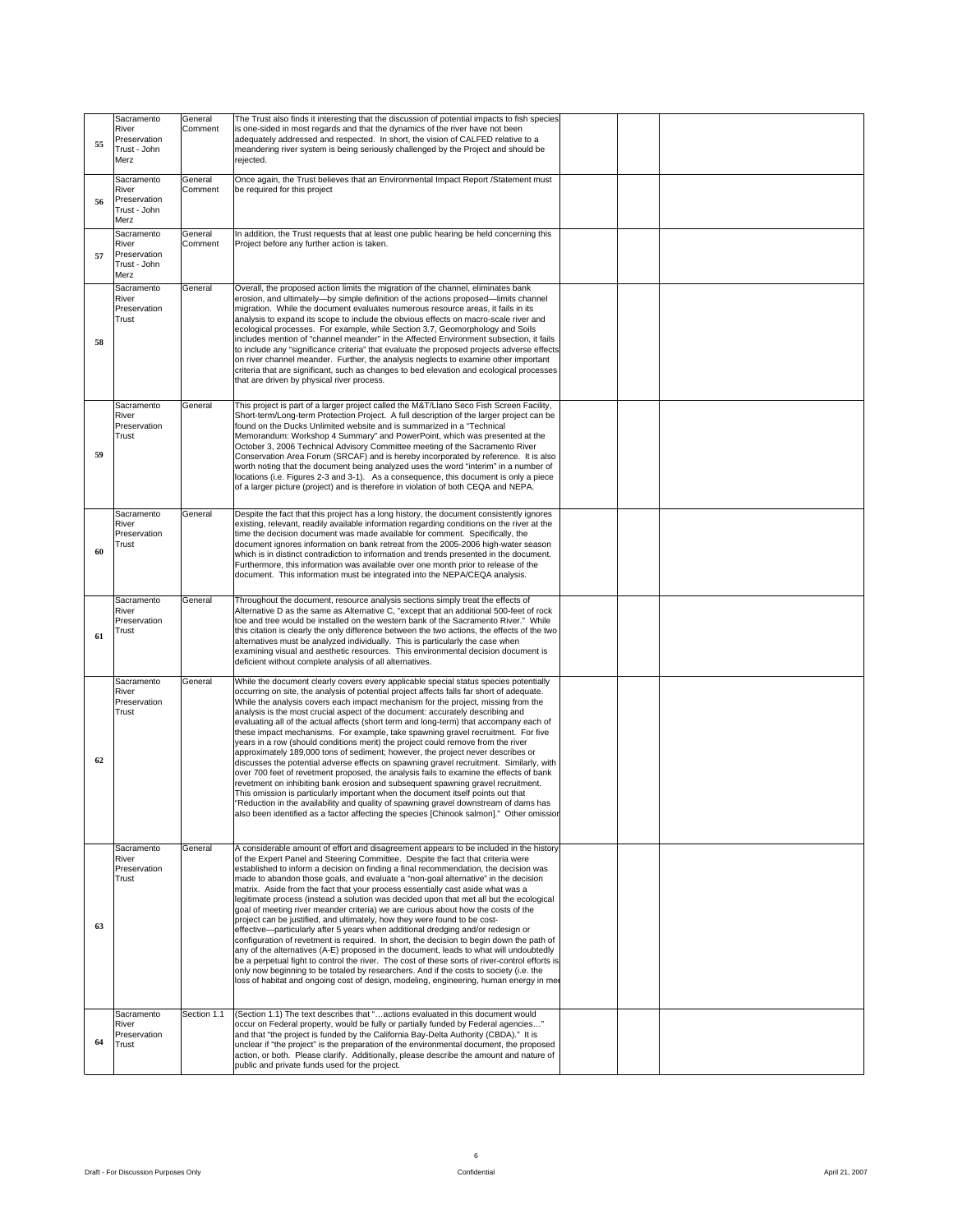| Sacramento                          | General The Trust also finds it interesting that the discussion of potential impacts to fish species                                                                  |  |  |
|-------------------------------------|-----------------------------------------------------------------------------------------------------------------------------------------------------------------------|--|--|
| River                               | Comment is one-sided in most regards and that the dynamics of the river have not been                                                                                 |  |  |
| Preservation                        | adequately addressed and respected. In short, the vision of CALFED relative to a                                                                                      |  |  |
| Trust - John                        | meandering river system is being seriously challenged by the Project and should be                                                                                    |  |  |
| Merz                                |                                                                                                                                                                       |  |  |
| Sacramento                          | General Once again, the Trust believes that an Environmental Impact Report /Statement must                                                                            |  |  |
| River                               | Comment be required for this project                                                                                                                                  |  |  |
| 56 Preservation                     |                                                                                                                                                                       |  |  |
| Trust - John                        |                                                                                                                                                                       |  |  |
| Merz                                |                                                                                                                                                                       |  |  |
| Sacramento                          | General   In addition, the Trust requests that at least one public hearing be held concerning this                                                                    |  |  |
| River                               | Comment Project before any further action is taken.                                                                                                                   |  |  |
| Preservation                        |                                                                                                                                                                       |  |  |
| Trust - John                        |                                                                                                                                                                       |  |  |
| Merz                                |                                                                                                                                                                       |  |  |
|                                     |                                                                                                                                                                       |  |  |
|                                     | Sacramento General Overall, the proposed action limits the migration of the channel, eliminates bank                                                                  |  |  |
| River                               | erosion, and ultimately-by simple definition of the actions proposed-limits channel                                                                                   |  |  |
| Preservation<br>Trust               | migration. While the document evaluates numerous resource areas, it fails in its                                                                                      |  |  |
|                                     | analysis to expand its scope to include the obvious effects on macro-scale river and<br>ecological processes. For example, while Section 3.7, Geomorphology and Soils |  |  |
|                                     | includes mention of "channel meander" in the Affected Environment subsection, it fails                                                                                |  |  |
|                                     | to include any "significance criteria" that evaluate the proposed projects adverse effects                                                                            |  |  |
|                                     | on river channel meander. Further, the analysis neglects to examine other important                                                                                   |  |  |
|                                     | criteria that are significant, such as changes to bed elevation and ecological processes                                                                              |  |  |
|                                     | that are driven by physical river process.                                                                                                                            |  |  |
|                                     |                                                                                                                                                                       |  |  |
|                                     |                                                                                                                                                                       |  |  |
| Sacramento General                  | This project is part of a larger project called the M&T/Llano Seco Fish Screen Facility,                                                                              |  |  |
| River                               | Short-term/Long-term Protection Project. A full description of the larger project can be                                                                              |  |  |
| Preservation                        | found on the Ducks Unlimited website and is summarized in a "Technical                                                                                                |  |  |
| Trust                               | Memorandum: Workshop 4 Summary" and PowerPoint, which was presented at the                                                                                            |  |  |
|                                     | October 3, 2006 Technical Advisory Committee meeting of the Sacramento River                                                                                          |  |  |
|                                     | Conservation Area Forum (SRCAF) and is hereby incorporated by reference. It is also                                                                                   |  |  |
|                                     | worth noting that the document being analyzed uses the word "interim" in a number of                                                                                  |  |  |
|                                     | locations (i.e. Figures 2-3 and 3-1). As a consequence, this document is only a piece                                                                                 |  |  |
|                                     | of a larger picture (project) and is therefore in violation of both CEQA and NEPA.                                                                                    |  |  |
|                                     |                                                                                                                                                                       |  |  |
|                                     | Sacramento General Despite the fact that this project has a long history, the document consistently ignores                                                           |  |  |
| River                               | existing, relevant, readily available information regarding conditions on the river at the                                                                            |  |  |
| Preservation                        | time the decision document was made available for comment. Specifically, the                                                                                          |  |  |
| Trust                               | document ignores information on bank retreat from the 2005-2006 high-water season                                                                                     |  |  |
|                                     | which is in distinct contradiction to information and trends presented in the document.                                                                               |  |  |
|                                     | Furthermore, this information was available over one month prior to release of the                                                                                    |  |  |
|                                     | document. This information must be integrated into the NEPA/CEQA analysis.                                                                                            |  |  |
|                                     |                                                                                                                                                                       |  |  |
| Sacramento General                  | Throughout the document, resource analysis sections simply treat the effects of                                                                                       |  |  |
| River                               | Alternative D as the same as Alternative C, "except that an additional 500-feet of rock                                                                               |  |  |
| Preservation                        | toe and tree would be installed on the western bank of the Sacramento River." While                                                                                   |  |  |
| Trust                               | this citation is clearly the only difference between the two actions, the effects of the two                                                                          |  |  |
|                                     |                                                                                                                                                                       |  |  |
|                                     |                                                                                                                                                                       |  |  |
|                                     | alternatives must be analyzed individually. This is particularly the case when                                                                                        |  |  |
|                                     | examining visual and aesthetic resources. This environmental decision document is<br>deficient without complete analysis of all alternatives.                         |  |  |
|                                     |                                                                                                                                                                       |  |  |
| Sacramento General                  | While the document clearly covers every applicable special status species potentially                                                                                 |  |  |
| River                               | occurring on site, the analysis of potential project affects falls far short of adequate.                                                                             |  |  |
| Preservation                        | While the analysis covers each impact mechanism for the project, missing from the                                                                                     |  |  |
| Trust                               | analysis is the most crucial aspect of the document: accurately describing and                                                                                        |  |  |
|                                     | evaluating all of the actual affects (short term and long-term) that accompany each of                                                                                |  |  |
|                                     | these impact mechanisms. For example, take spawning gravel recruitment. For five                                                                                      |  |  |
|                                     | years in a row (should conditions merit) the project could remove from the river                                                                                      |  |  |
|                                     | approximately 189,000 tons of sediment; however, the project never describes or                                                                                       |  |  |
|                                     | discusses the potential adverse effects on spawning gravel recruitment. Similarly, with                                                                               |  |  |
|                                     | over 700 feet of revetment proposed, the analysis fails to examine the effects of bank                                                                                |  |  |
|                                     | revetment on inhibiting bank erosion and subsequent spawning gravel recruitment.                                                                                      |  |  |
|                                     | This omission is particularly important when the document itself points out that                                                                                      |  |  |
|                                     | "Reduction in the availability and quality of spawning gravel downstream of dams has                                                                                  |  |  |
|                                     | also been identified as a factor affecting the species [Chinook salmon]." Other omission                                                                              |  |  |
|                                     |                                                                                                                                                                       |  |  |
|                                     |                                                                                                                                                                       |  |  |
|                                     | Sacramento General A considerable amount of effort and disagreement appears to be included in the history                                                             |  |  |
| River                               | of the Expert Panel and Steering Committee. Despite the fact that criteria were                                                                                       |  |  |
| Preservation                        | established to inform a decision on finding a final recommendation, the decision was                                                                                  |  |  |
| Trust                               | made to abandon those goals, and evaluate a "non-goal alternative" in the decision                                                                                    |  |  |
|                                     | matrix. Aside from the fact that your process essentially cast aside what was a                                                                                       |  |  |
|                                     | legitimate process (instead a solution was decided upon that met all but the ecological                                                                               |  |  |
|                                     | goal of meeting river meander criteria) we are curious about how the costs of the                                                                                     |  |  |
|                                     | project can be justified, and ultimately, how they were found to be cost-                                                                                             |  |  |
|                                     | effective-particularly after 5 years when additional dredging and/or redesign or                                                                                      |  |  |
|                                     | configuration of revetment is required. In short, the decision to begin down the path of                                                                              |  |  |
|                                     | any of the alternatives (A-E) proposed in the document, leads to what will undoubtedly                                                                                |  |  |
|                                     | be a perpetual fight to control the river. The cost of these sorts of river-control efforts is                                                                        |  |  |
|                                     | only now beginning to be totaled by researchers. And if the costs to society (i.e. the                                                                                |  |  |
|                                     | loss of habitat and ongoing cost of design, modeling, engineering, human energy in mee                                                                                |  |  |
|                                     |                                                                                                                                                                       |  |  |
|                                     |                                                                                                                                                                       |  |  |
| Sacramento                          | Section 1.1 (Section 1.1) The text describes that "actions evaluated in this document would                                                                           |  |  |
| River                               | occur on Federal property, would be fully or partially funded by Federal agencies'                                                                                    |  |  |
| Preservation                        | and that "the project is funded by the California Bay-Delta Authority (CBDA)." It is                                                                                  |  |  |
| $64$ $\overline{\phantom{a}}$ Trust | unclear if "the project" is the preparation of the environmental document, the proposed                                                                               |  |  |
|                                     | action, or both. Please clarify. Additionally, please describe the amount and nature of<br>public and private funds used for the project.                             |  |  |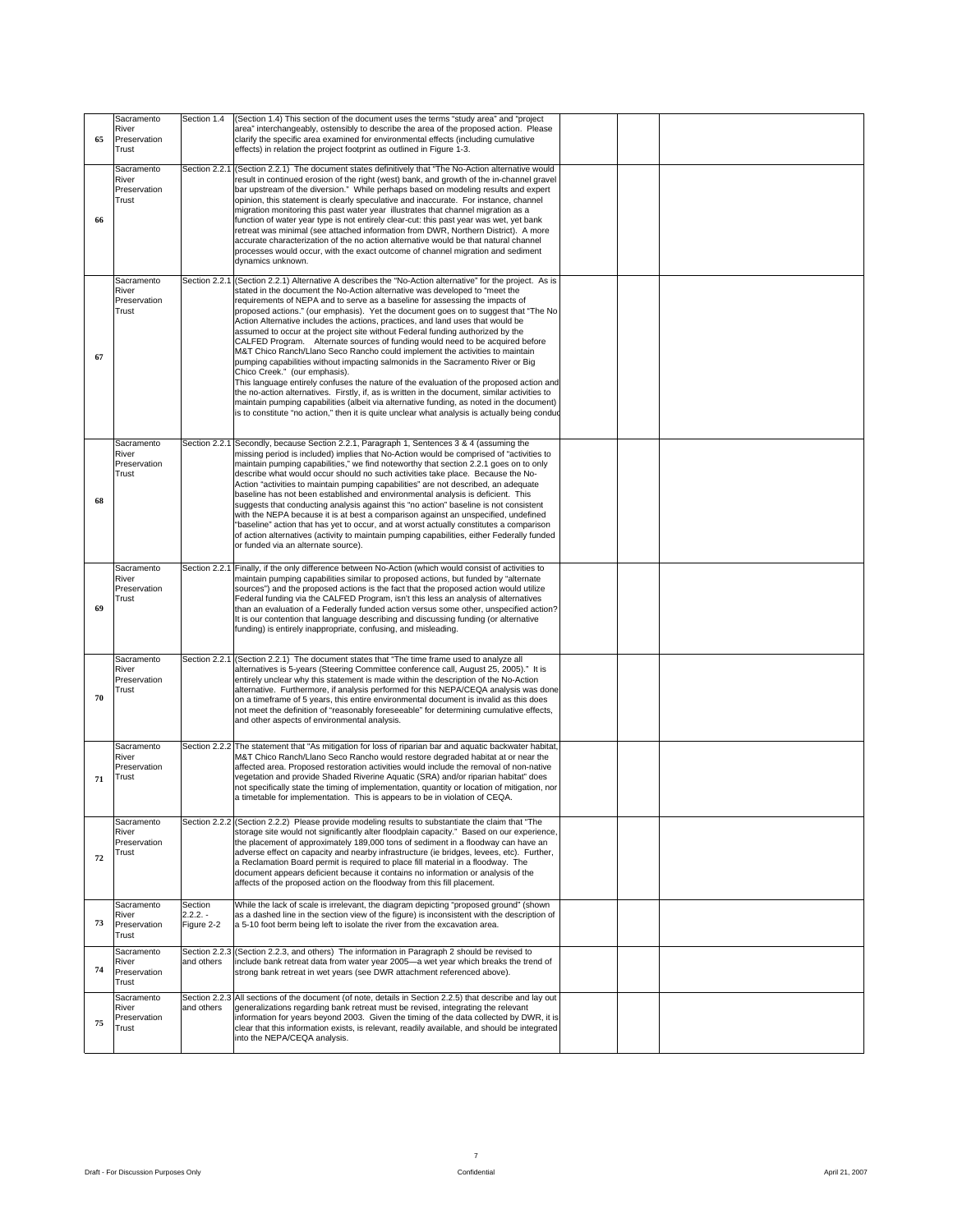| Sacramento<br>River<br>65 Preservation                      | Section 1.4 (Section 1.4) This section of the document uses the terms "study area" and "project"<br>area" interchangeably, ostensibly to describe the area of the proposed action. Please<br>clarify the specific area examined for environmental effects (including cumulative                                                                                                                                                                                                                                                                                                                                                                                                                                                                                                                                                                                                                                                                                                                                                                                                                                                                                                                                                        |  |
|-------------------------------------------------------------|----------------------------------------------------------------------------------------------------------------------------------------------------------------------------------------------------------------------------------------------------------------------------------------------------------------------------------------------------------------------------------------------------------------------------------------------------------------------------------------------------------------------------------------------------------------------------------------------------------------------------------------------------------------------------------------------------------------------------------------------------------------------------------------------------------------------------------------------------------------------------------------------------------------------------------------------------------------------------------------------------------------------------------------------------------------------------------------------------------------------------------------------------------------------------------------------------------------------------------------|--|
| Trust<br>Sacramento<br>River<br>Preservation<br>Trust<br>66 | effects) in relation the project footprint as outlined in Figure 1-3.<br>Section 2.2.1 (Section 2.2.1) The document states definitively that "The No-Action alternative would<br>result in continued erosion of the right (west) bank, and growth of the in-channel gravel<br>bar upstream of the diversion." While perhaps based on modeling results and expert<br>opinion, this statement is clearly speculative and inaccurate. For instance, channel<br>migration monitoring this past water year illustrates that channel migration as a<br>function of water year type is not entirely clear-cut: this past year was wet, yet bank<br>retreat was minimal (see attached information from DWR, Northern District). A more<br>accurate characterization of the no action alternative would be that natural channel<br>processes would occur, with the exact outcome of channel migration and sediment                                                                                                                                                                                                                                                                                                                              |  |
| Sacramento<br>River<br>Preservation<br>Trust<br>67          | dynamics unknown.<br>Section 2.2.1 (Section 2.2.1) Alternative A describes the "No-Action alternative" for the project. As is<br>stated in the document the No-Action alternative was developed to "meet the<br>requirements of NEPA and to serve as a baseline for assessing the impacts of<br>proposed actions." (our emphasis). Yet the document goes on to suggest that "The No<br>Action Alternative includes the actions, practices, and land uses that would be<br>assumed to occur at the project site without Federal funding authorized by the<br>CALFED Program. Alternate sources of funding would need to be acquired before<br>M&T Chico Ranch/Llano Seco Rancho could implement the activities to maintain<br>pumping capabilities without impacting salmonids in the Sacramento River or Big<br>Chico Creek." (our emphasis).<br>This language entirely confuses the nature of the evaluation of the proposed action and<br>the no-action alternatives. Firstly, if, as is written in the document, similar activities to<br>maintain pumping capabilities (albeit via alternative funding, as noted in the document)<br>is to constitute "no action," then it is quite unclear what analysis is actually being conduc |  |
| Sacramento<br>River<br>Preservation<br>Trust<br>68          | Section 2.2.1 Secondly, because Section 2.2.1, Paragraph 1, Sentences 3 & 4 (assuming the<br>missing period is included) implies that No-Action would be comprised of "activities to<br>maintain pumping capabilities," we find noteworthy that section 2.2.1 goes on to only<br>describe what would occur should no such activities take place. Because the No-<br>Action "activities to maintain pumping capabilities" are not described, an adequate<br>baseline has not been established and environmental analysis is deficient. This<br>suggests that conducting analysis against this "no action" baseline is not consistent<br>with the NEPA because it is at best a comparison against an unspecified, undefined<br>"baseline" action that has yet to occur, and at worst actually constitutes a comparison<br>of action alternatives (activity to maintain pumping capabilities, either Federally funded<br>or funded via an alternate source).                                                                                                                                                                                                                                                                              |  |
| River<br>Preservation<br>Trust<br>69                        | Sacramento Section 2.2.1 Finally, if the only difference between No-Action (which would consist of activities to<br>maintain pumping capabilities similar to proposed actions, but funded by "alternate<br>sources") and the proposed actions is the fact that the proposed action would utilize<br>Federal funding via the CALFED Program, isn't this less an analysis of alternatives<br>than an evaluation of a Federally funded action versus some other, unspecified action?<br>It is our contention that language describing and discussing funding (or alternative<br>funding) is entirely inappropriate, confusing, and misleading.                                                                                                                                                                                                                                                                                                                                                                                                                                                                                                                                                                                            |  |
| Sacramento<br>River<br>Preservation<br>Trust<br>70          | Section 2.2.1 (Section 2.2.1) The document states that "The time frame used to analyze all<br>alternatives is 5-years (Steering Committee conference call, August 25, 2005)." It is<br>entirely unclear why this statement is made within the description of the No-Action<br>alternative. Furthermore, if analysis performed for this NEPA/CEQA analysis was done<br>on a timeframe of 5 years, this entire environmental document is invalid as this does<br>not meet the definition of "reasonably foreseeable" for determining cumulative effects,<br>and other aspects of environmental analysis.                                                                                                                                                                                                                                                                                                                                                                                                                                                                                                                                                                                                                                 |  |
| Sacramento<br>River<br>Preservation<br>$71$ Trust           | Section 2.2.2 The statement that "As mitigation for loss of riparian bar and aquatic backwater habitat,<br>M&T Chico Ranch/Llano Seco Rancho would restore degraded habitat at or near the<br>affected area. Proposed restoration activities would include the removal of non-native<br>vegetation and provide Shaded Riverine Aquatic (SRA) and/or riparian habitat" does<br>not specifically state the timing of implementation, quantity or location of mitigation, nor<br>a timetable for implementation. This is appears to be in violation of CEQA.                                                                                                                                                                                                                                                                                                                                                                                                                                                                                                                                                                                                                                                                              |  |
| Sacramento<br>River<br>Preservation<br>Trust<br>72          | Section 2.2.2 (Section 2.2.2) Please provide modeling results to substantiate the claim that "The<br>storage site would not significantly alter floodplain capacity." Based on our experience,<br>the placement of approximately 189,000 tons of sediment in a floodway can have an<br>adverse effect on capacity and nearby infrastructure (ie bridges, levees, etc). Further,<br>a Reclamation Board permit is required to place fill material in a floodway. The<br>document appears deficient because it contains no information or analysis of the<br>affects of the proposed action on the floodway from this fill placement.                                                                                                                                                                                                                                                                                                                                                                                                                                                                                                                                                                                                    |  |
| Sacramento<br>River<br>73<br>Preservation<br>Trust          | Section<br>While the lack of scale is irrelevant, the diagram depicting "proposed ground" (shown<br>$2.2.2. -$<br>as a dashed line in the section view of the figure) is inconsistent with the description of<br>Figure 2-2 a 5-10 foot berm being left to isolate the river from the excavation area.                                                                                                                                                                                                                                                                                                                                                                                                                                                                                                                                                                                                                                                                                                                                                                                                                                                                                                                                 |  |
| Sacramento<br>River<br>Preservation<br>Trust                | Section 2.2.3 (Section 2.2.3, and others) The information in Paragraph 2 should be revised to<br>and others include bank retreat data from water year 2005—a wet year which breaks the trend of<br>strong bank retreat in wet years (see DWR attachment referenced above).<br>Section 2.2.3 All sections of the document (of note, details in Section 2.2.5) that describe and lay out                                                                                                                                                                                                                                                                                                                                                                                                                                                                                                                                                                                                                                                                                                                                                                                                                                                 |  |
| Sacramento<br>River<br>Preservation<br>75<br>Trust          | and others generalizations regarding bank retreat must be revised, integrating the relevant<br>information for years beyond 2003. Given the timing of the data collected by DWR, it is<br>clear that this information exists, is relevant, readily available, and should be integrated<br>into the NEPA/CEQA analysis.                                                                                                                                                                                                                                                                                                                                                                                                                                                                                                                                                                                                                                                                                                                                                                                                                                                                                                                 |  |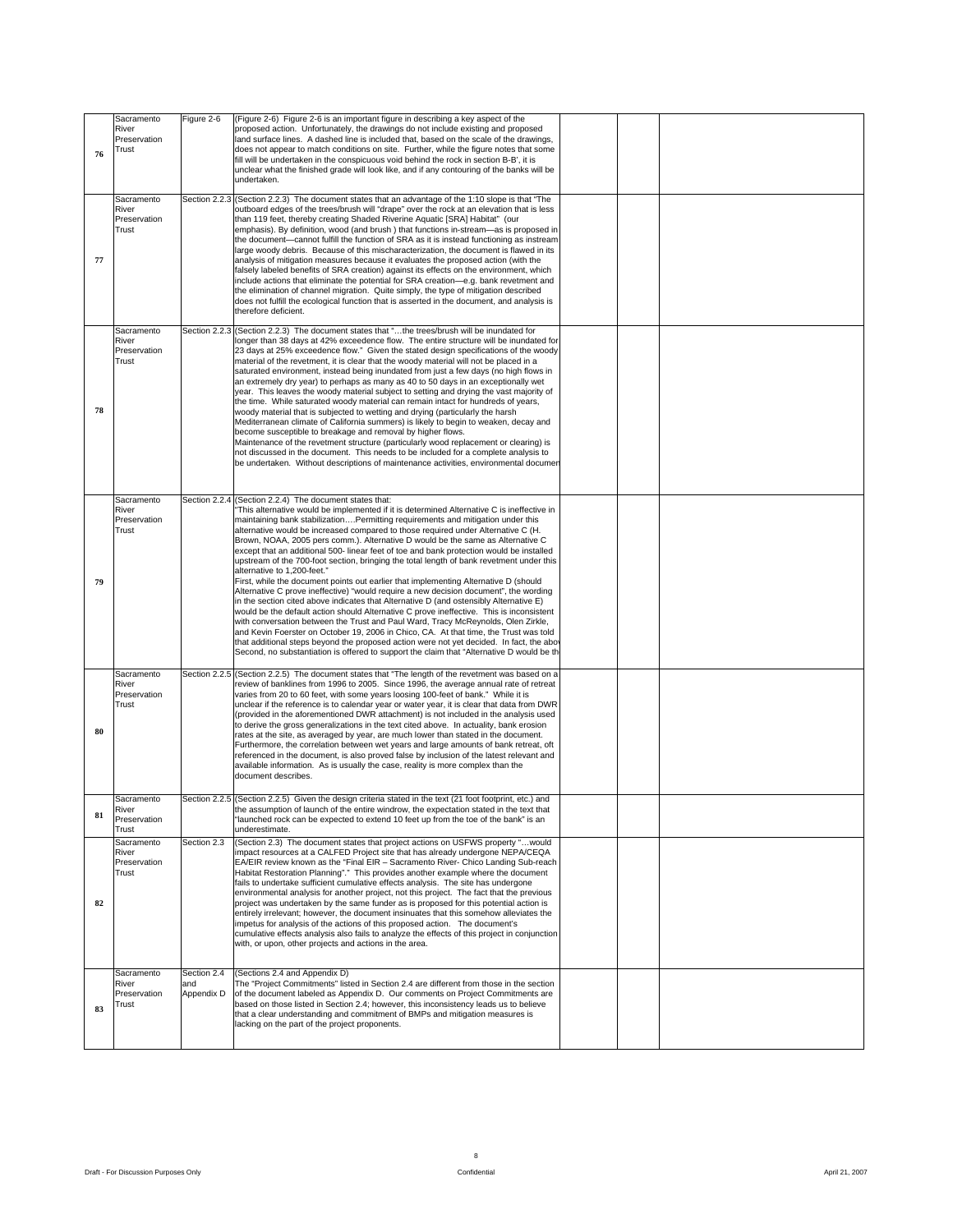|                       | Sacramento   Figure 2-6   (Figure 2-6) Figure 2-6 is an important figure in describing a key aspect of the                                                                           |
|-----------------------|--------------------------------------------------------------------------------------------------------------------------------------------------------------------------------------|
| River                 | proposed action. Unfortunately, the drawings do not include existing and proposed                                                                                                    |
| Preservation          | land surface lines. A dashed line is included that, based on the scale of the drawings,                                                                                              |
| <b>Trust</b>          | does not appear to match conditions on site. Further, while the figure notes that some                                                                                               |
|                       | fill will be undertaken in the conspicuous void behind the rock in section B-B', it is<br>unclear what the finished grade will look like, and if any contouring of the banks will be |
|                       | undertaken.                                                                                                                                                                          |
|                       |                                                                                                                                                                                      |
|                       | Sacramento Section 2.2.3 (Section 2.2.3) The document states that an advantage of the 1:10 slope is that "The                                                                        |
| River                 | outboard edges of the trees/brush will "drape" over the rock at an elevation that is less                                                                                            |
| Preservation          | than 119 feet, thereby creating Shaded Riverine Aquatic [SRA] Habitat" (our                                                                                                          |
| Trust                 | emphasis). By definition, wood (and brush) that functions in-stream—as is proposed in<br>the document-cannot fulfill the function of SRA as it is instead functioning as instream    |
|                       | large woody debris. Because of this mischaracterization, the document is flawed in its                                                                                               |
|                       | analysis of mitigation measures because it evaluates the proposed action (with the                                                                                                   |
|                       | falsely labeled benefits of SRA creation) against its effects on the environment, which                                                                                              |
|                       | include actions that eliminate the potential for SRA creation-e.g. bank revetment and                                                                                                |
|                       | the elimination of channel migration. Quite simply, the type of mitigation described<br>does not fulfill the ecological function that is asserted in the document, and analysis is   |
|                       | therefore deficient.                                                                                                                                                                 |
|                       |                                                                                                                                                                                      |
|                       | Sacramento Section 2.2.3 (Section 2.2.3) The document states that "the trees/brush will be inundated for                                                                             |
| River<br>Preservation | longer than 38 days at 42% exceedence flow. The entire structure will be inundated for<br>23 days at 25% exceedence flow." Given the stated design specifications of the woody       |
| <b>Trust</b>          | material of the revetment, it is clear that the woody material will not be placed in a                                                                                               |
|                       | saturated environment, instead being inundated from just a few days (no high flows in                                                                                                |
|                       | an extremely dry year) to perhaps as many as 40 to 50 days in an exceptionally wet                                                                                                   |
|                       | year. This leaves the woody material subject to setting and drying the vast majority of<br>the time. While saturated woody material can remain intact for hundreds of years,         |
|                       | woody material that is subjected to wetting and drying (particularly the harsh                                                                                                       |
|                       | Mediterranean climate of California summers) is likely to begin to weaken, decay and                                                                                                 |
|                       | become susceptible to breakage and removal by higher flows.                                                                                                                          |
|                       | Maintenance of the revetment structure (particularly wood replacement or clearing) is                                                                                                |
|                       | not discussed in the document. This needs to be included for a complete analysis to<br>be undertaken. Without descriptions of maintenance activities, environmental documen          |
|                       |                                                                                                                                                                                      |
|                       |                                                                                                                                                                                      |
|                       | Sacramento Section 2.2.4 (Section 2.2.4) The document states that:                                                                                                                   |
| River                 | "This alternative would be implemented if it is determined Alternative C is ineffective in                                                                                           |
| Preservation          | maintaining bank stabilizationPermitting requirements and mitigation under this                                                                                                      |
|                       | alternative would be increased compared to those required under Alternative C (H.<br>Brown, NOAA, 2005 pers comm.). Alternative D would be the same as Alternative C                 |
|                       | except that an additional 500- linear feet of toe and bank protection would be installed                                                                                             |
|                       | upstream of the 700-foot section, bringing the total length of bank revetment under this                                                                                             |
|                       | alternative to 1,200-feet."                                                                                                                                                          |
|                       | First, while the document points out earlier that implementing Alternative D (should                                                                                                 |
|                       | Alternative C prove ineffective) "would require a new decision document", the wording                                                                                                |
|                       | in the section cited above indicates that Alternative D (and ostensibly Alternative E)<br>would be the default action should Alternative C prove ineffective. This is inconsistent   |
|                       | with conversation between the Trust and Paul Ward, Tracy McReynolds, Olen Zirkle,                                                                                                    |
|                       | and Kevin Foerster on October 19, 2006 in Chico, CA. At that time, the Trust was told                                                                                                |
|                       | that additional steps beyond the proposed action were not yet decided. In fact, the above                                                                                            |
|                       | Second, no substantiation is offered to support the claim that "Alternative D would be the                                                                                           |
|                       | Sacramento Section 2.2.5 (Section 2.2.5) The document states that "The length of the revetment was based on a                                                                        |
| River                 | review of banklines from 1996 to 2005. Since 1996, the average annual rate of retreat                                                                                                |
| Preservation          | varies from 20 to 60 feet, with some years loosing 100-feet of bank." While it is                                                                                                    |
| Trust                 | unclear if the reference is to calendar year or water year, it is clear that data from DWR                                                                                           |
|                       | (provided in the aforementioned DWR attachment) is not included in the analysis used                                                                                                 |
|                       | to derive the gross generalizations in the text cited above. In actuality, bank erosion<br>rates at the site, as averaged by year, are much lower than stated in the document.       |
|                       | Furthermore, the correlation between wet years and large amounts of bank retreat, oft                                                                                                |
|                       | referenced in the document, is also proved false by inclusion of the latest relevant and                                                                                             |
|                       | available information. As is usually the case, reality is more complex than the                                                                                                      |
|                       | document describes.                                                                                                                                                                  |
|                       | Sacramento Section 2.2.5 (Section 2.2.5) Given the design criteria stated in the text (21 foot footprint, etc.) and                                                                  |
| River                 | the assumption of launch of the entire windrow, the expectation stated in the text that                                                                                              |
| 81 Preservation       | "launched rock can be expected to extend 10 feet up from the toe of the bank" is an                                                                                                  |
| <b>Trust</b>          | underestimate.                                                                                                                                                                       |
| Sacramento            | Section 2.3 (Section 2.3) The document states that project actions on USFWS property "would                                                                                          |
| River                 | impact resources at a CALFED Project site that has already undergone NEPA/CEQA                                                                                                       |
| Preservation          | EA/EIR review known as the "Final EIR - Sacramento River- Chico Landing Sub-reach                                                                                                    |
| Trust                 | Habitat Restoration Planning"." This provides another example where the document                                                                                                     |
|                       | fails to undertake sufficient cumulative effects analysis. The site has undergone<br>environmental analysis for another project, not this project. The fact that the previous        |
|                       | project was undertaken by the same funder as is proposed for this potential action is                                                                                                |
|                       | entirely irrelevant; however, the document insinuates that this somehow alleviates the                                                                                               |
|                       | impetus for analysis of the actions of this proposed action. The document's                                                                                                          |
|                       | cumulative effects analysis also fails to analyze the effects of this project in conjunction                                                                                         |
|                       | with, or upon, other projects and actions in the area.                                                                                                                               |
|                       |                                                                                                                                                                                      |
|                       |                                                                                                                                                                                      |
|                       |                                                                                                                                                                                      |
| River                 | Sacramento Section 2.4 (Sections 2.4 and Appendix D)<br>and The "Project Commitments" listed in Section 2.4 are different from those in the section                                  |
|                       | Preservation Appendix D of the document labeled as Appendix D. Our comments on Project Commitments are                                                                               |
| Trust                 | based on those listed in Section 2.4; however, this inconsistency leads us to believe                                                                                                |
|                       | that a clear understanding and commitment of BMPs and mitigation measures is                                                                                                         |
|                       | lacking on the part of the project proponents.                                                                                                                                       |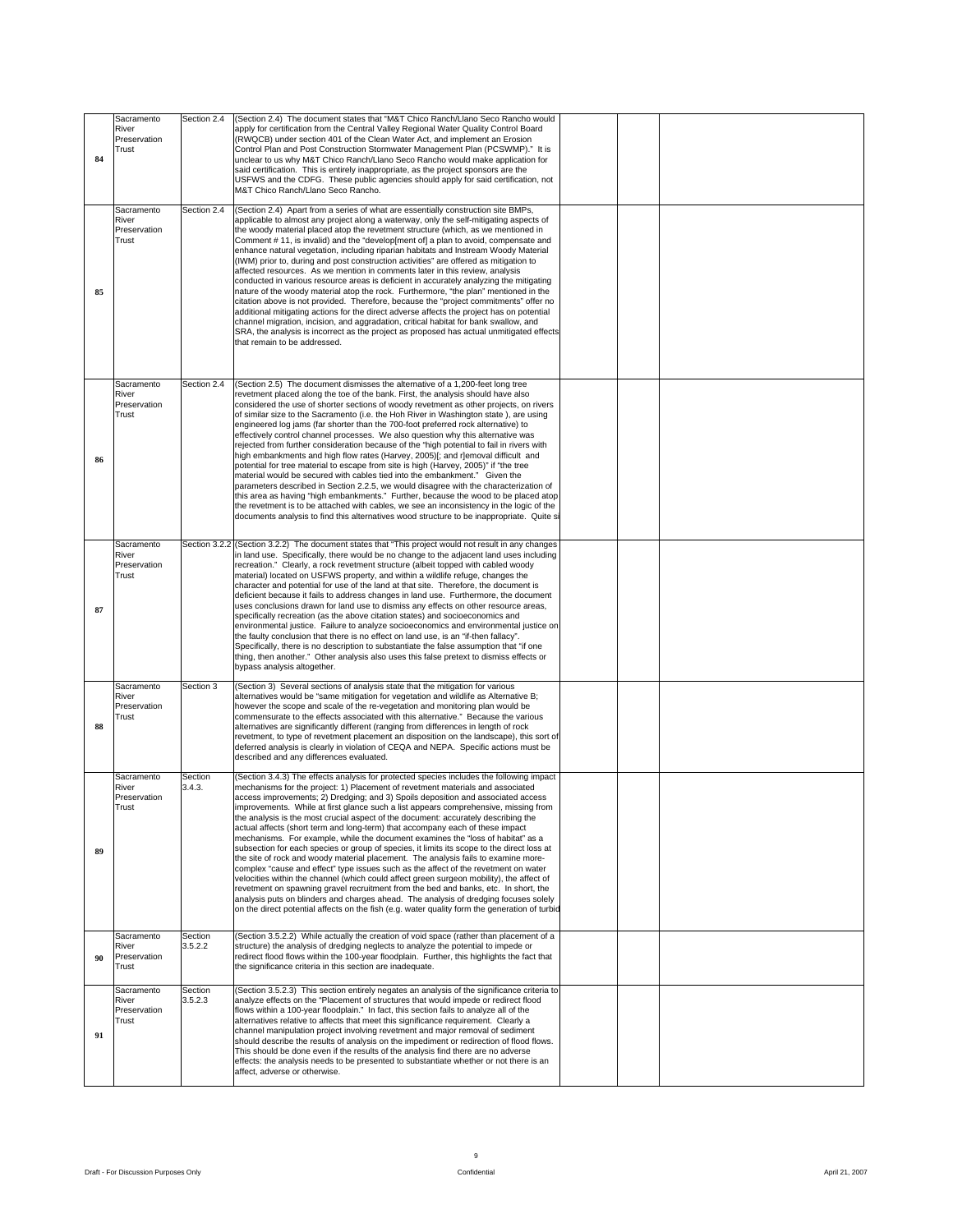| Sacramento                             | Section 2.4 (Section 2.4) The document states that "M&T Chico Ranch/Llano Seco Rancho would                                                                                                     |  |  |  |
|----------------------------------------|-------------------------------------------------------------------------------------------------------------------------------------------------------------------------------------------------|--|--|--|
| River<br>Preservation                  | apply for certification from the Central Valley Regional Water Quality Control Board<br>(RWQCB) under section 401 of the Clean Water Act, and implement an Erosion                              |  |  |  |
| Trust                                  | Control Plan and Post Construction Stormwater Management Plan (PCSWMP)." It is                                                                                                                  |  |  |  |
|                                        | unclear to us why M&T Chico Ranch/Llano Seco Rancho would make application for<br>said certification. This is entirely inappropriate, as the project sponsors are the                           |  |  |  |
|                                        | USFWS and the CDFG. These public agencies should apply for said certification, not                                                                                                              |  |  |  |
|                                        | M&T Chico Ranch/Llano Seco Rancho.                                                                                                                                                              |  |  |  |
| Sacramento<br>River                    | Section 2.4 (Section 2.4) Apart from a series of what are essentially construction site BMPs,<br>applicable to almost any project along a waterway, only the self-mitigating aspects of         |  |  |  |
| Preservation                           | the woody material placed atop the revetment structure (which, as we mentioned in                                                                                                               |  |  |  |
|                                        | Comment #11, is invalid) and the "develop [ment of] a plan to avoid, compensate and<br>enhance natural vegetation, including riparian habitats and Instream Woody Material                      |  |  |  |
|                                        | (IWM) prior to, during and post construction activities" are offered as mitigation to                                                                                                           |  |  |  |
|                                        | affected resources. As we mention in comments later in this review, analysis<br>conducted in various resource areas is deficient in accurately analyzing the mitigating                         |  |  |  |
|                                        | nature of the woody material atop the rock. Furthermore, "the plan" mentioned in the                                                                                                            |  |  |  |
|                                        | citation above is not provided. Therefore, because the "project commitments" offer no<br>additional mitigating actions for the direct adverse affects the project has on potential              |  |  |  |
|                                        | channel migration, incision, and aggradation, critical habitat for bank swallow, and<br>SRA, the analysis is incorrect as the project as proposed has actual unmitigated effects                |  |  |  |
|                                        | that remain to be addressed.                                                                                                                                                                    |  |  |  |
|                                        |                                                                                                                                                                                                 |  |  |  |
|                                        |                                                                                                                                                                                                 |  |  |  |
| Sacramento<br>River                    | Section 2.4 (Section 2.5) The document dismisses the alternative of a 1,200-feet long tree<br>revetment placed along the toe of the bank. First, the analysis should have also                  |  |  |  |
| Preservation                           | considered the use of shorter sections of woody revetment as other projects, on rivers                                                                                                          |  |  |  |
| Trust                                  | of similar size to the Sacramento (i.e. the Hoh River in Washington state), are using<br>engineered log jams (far shorter than the 700-foot preferred rock alternative) to                      |  |  |  |
|                                        | effectively control channel processes. We also question why this alternative was<br>rejected from further consideration because of the "high potential to fail in rivers with                   |  |  |  |
|                                        | high embankments and high flow rates (Harvey, 2005)[; and r]emoval difficult and                                                                                                                |  |  |  |
|                                        | potential for tree material to escape from site is high (Harvey, 2005)" if "the tree<br>material would be secured with cables tied into the embankment." Given the                              |  |  |  |
|                                        | parameters described in Section 2.2.5, we would disagree with the characterization of                                                                                                           |  |  |  |
|                                        | this area as having "high embankments." Further, because the wood to be placed atop<br>the revetment is to be attached with cables, we see an inconsistency in the logic of the                 |  |  |  |
|                                        | documents analysis to find this alternatives wood structure to be inappropriate. Quite si                                                                                                       |  |  |  |
|                                        |                                                                                                                                                                                                 |  |  |  |
| Sacramento<br>River                    | Section 3.2.2 (Section 3.2.2) The document states that "This project would not result in any changes<br>in land use. Specifically, there would be no change to the adjacent land uses including |  |  |  |
| Preservation<br>Trust                  | recreation." Clearly, a rock revetment structure (albeit topped with cabled woody<br>material) located on USFWS property, and within a wildlife refuge, changes the                             |  |  |  |
|                                        | character and potential for use of the land at that site. Therefore, the document is                                                                                                            |  |  |  |
|                                        | deficient because it fails to address changes in land use. Furthermore, the document<br>uses conclusions drawn for land use to dismiss any effects on other resource areas,                     |  |  |  |
|                                        | specifically recreation (as the above citation states) and socioeconomics and                                                                                                                   |  |  |  |
|                                        | environmental justice. Failure to analyze socioeconomics and environmental justice on<br>the faulty conclusion that there is no effect on land use, is an "if-then fallacy".                    |  |  |  |
|                                        | Specifically, there is no description to substantiate the false assumption that "if one<br>thing, then another." Other analysis also uses this false pretext to dismiss effects or              |  |  |  |
|                                        | bypass analysis altogether.                                                                                                                                                                     |  |  |  |
| Section 3<br>Sacramento                | (Section 3) Several sections of analysis state that the mitigation for various                                                                                                                  |  |  |  |
| River<br>Preservation                  | alternatives would be "same mitigation for vegetation and wildlife as Alternative B;<br>however the scope and scale of the re-vegetation and monitoring plan would be                           |  |  |  |
| Trust                                  | commensurate to the effects associated with this alternative." Because the various                                                                                                              |  |  |  |
|                                        | alternatives are significantly different (ranging from differences in length of rock<br>revetment, to type of revetment placement an disposition on the landscape), this sort of                |  |  |  |
|                                        | deferred analysis is clearly in violation of CEQA and NEPA. Specific actions must be                                                                                                            |  |  |  |
|                                        | described and any differences evaluated.                                                                                                                                                        |  |  |  |
| Sacramento Section<br>3.4.3.<br>River  | (Section 3.4.3) The effects analysis for protected species includes the following impact<br>mechanisms for the project: 1) Placement of revetment materials and associated                      |  |  |  |
| Preservation                           | access improvements; 2) Dredging; and 3) Spoils deposition and associated access                                                                                                                |  |  |  |
|                                        | improvements. While at first glance such a list appears comprehensive, missing from<br>the analysis is the most crucial aspect of the document: accurately describing the                       |  |  |  |
|                                        | actual affects (short term and long-term) that accompany each of these impact                                                                                                                   |  |  |  |
|                                        | mechanisms. For example, while the document examines the "loss of habitat" as a<br>subsection for each species or group of species, it limits its scope to the direct loss at                   |  |  |  |
|                                        | the site of rock and woody material placement. The analysis fails to examine more-                                                                                                              |  |  |  |
|                                        | complex "cause and effect" type issues such as the affect of the revetment on water<br>velocities within the channel (which could affect green surgeon mobility), the affect of                 |  |  |  |
|                                        | revetment on spawning gravel recruitment from the bed and banks, etc. In short, the<br>analysis puts on blinders and charges ahead. The analysis of dredging focuses solely                     |  |  |  |
|                                        | on the direct potential affects on the fish (e.g. water quality form the generation of turbid                                                                                                   |  |  |  |
|                                        |                                                                                                                                                                                                 |  |  |  |
| Sacramento Section<br>River<br>3.5.2.2 | (Section 3.5.2.2) While actually the creation of void space (rather than placement of a<br>structure) the analysis of dredging neglects to analyze the potential to impede or                   |  |  |  |
| 00 Preservation                        | redirect flood flows within the 100-year floodplain. Further, this highlights the fact that                                                                                                     |  |  |  |
| Trust                                  | the significance criteria in this section are inadequate.                                                                                                                                       |  |  |  |
| Section<br>Sacramento                  | (Section 3.5.2.3) This section entirely negates an analysis of the significance criteria to                                                                                                     |  |  |  |
| 3.5.2.3<br>River<br>Preservation       | analyze effects on the "Placement of structures that would impede or redirect flood<br>flows within a 100-year floodplain." In fact, this section fails to analyze all of the                   |  |  |  |
| Trust                                  | alternatives relative to affects that meet this significance requirement. Clearly a                                                                                                             |  |  |  |
|                                        | channel manipulation project involving revetment and major removal of sediment<br>should describe the results of analysis on the impediment or redirection of flood flows.                      |  |  |  |
|                                        | This should be done even if the results of the analysis find there are no adverse                                                                                                               |  |  |  |
|                                        | effects: the analysis needs to be presented to substantiate whether or not there is an<br>affect, adverse or otherwise.                                                                         |  |  |  |
|                                        |                                                                                                                                                                                                 |  |  |  |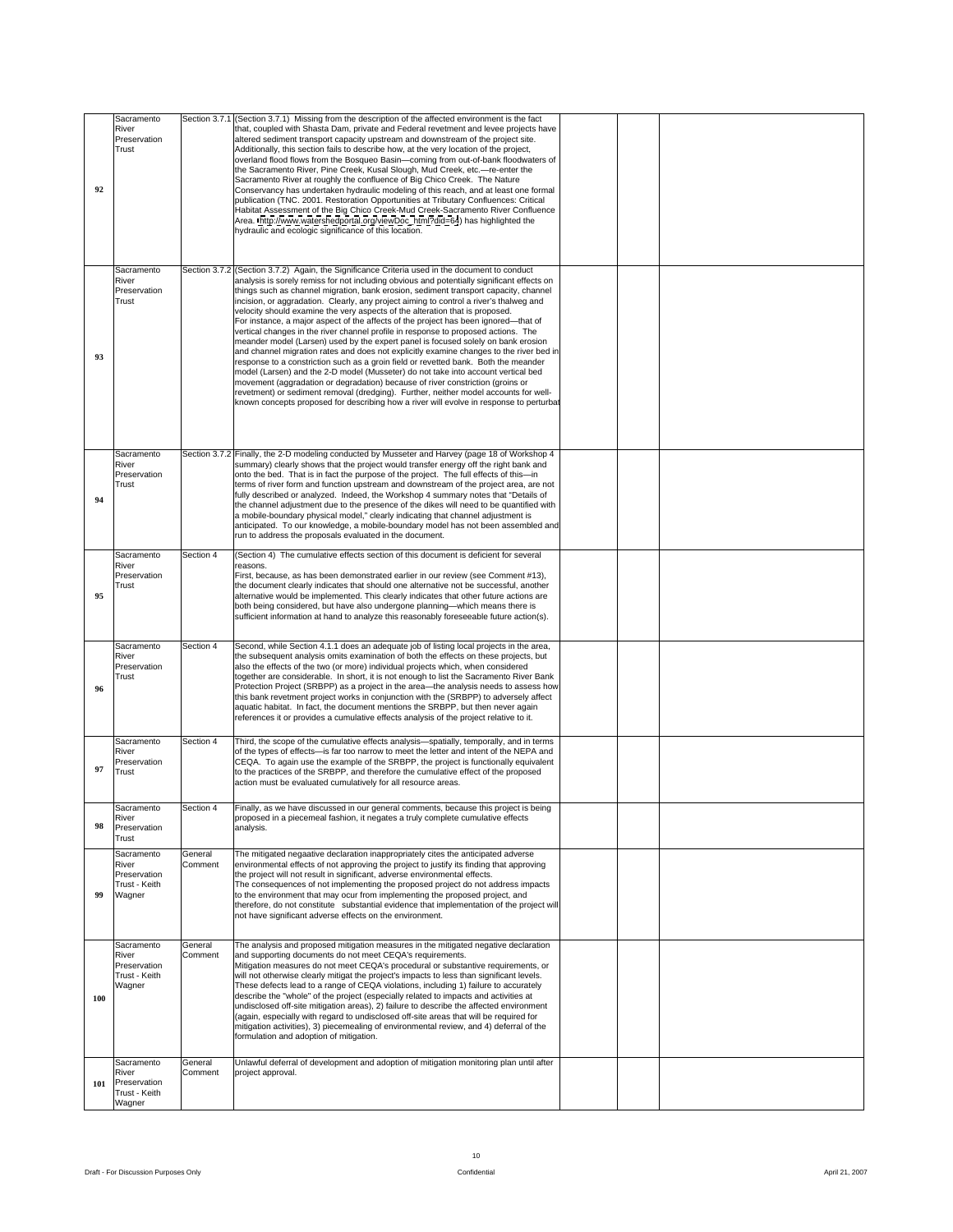| Sacramento<br>River<br>Preservation<br>Trust<br>92                    |                    | Section 3.7.1 (Section 3.7.1) Missing from the description of the affected environment is the fact<br>that, coupled with Shasta Dam, private and Federal revetment and levee projects have<br>altered sediment transport capacity upstream and downstream of the project site.<br>Additionally, this section fails to describe how, at the very location of the project,<br>overland flood flows from the Bosqueo Basin-coming from out-of-bank floodwaters of<br>the Sacramento River, Pine Creek, Kusal Slough, Mud Creek, etc.-re-enter the<br>Sacramento River at roughly the confluence of Big Chico Creek. The Nature<br>Conservancy has undertaken hydraulic modeling of this reach, and at least one formal<br>publication (TNC. 2001. Restoration Opportunities at Tributary Confluences: Critical<br>Habitat Assessment of the Big Chico Creek-Mud Creek-Sacramento River Confluence<br>Area. http://www.watershedportal.org/viewDoc_html?did=64) has highlighted the<br>hydraulic and ecologic significance of this location.                                                                                                                                                                                                                                     |  |  |  |
|-----------------------------------------------------------------------|--------------------|------------------------------------------------------------------------------------------------------------------------------------------------------------------------------------------------------------------------------------------------------------------------------------------------------------------------------------------------------------------------------------------------------------------------------------------------------------------------------------------------------------------------------------------------------------------------------------------------------------------------------------------------------------------------------------------------------------------------------------------------------------------------------------------------------------------------------------------------------------------------------------------------------------------------------------------------------------------------------------------------------------------------------------------------------------------------------------------------------------------------------------------------------------------------------------------------------------------------------------------------------------------------------|--|--|--|
| Sacramento<br>River<br>Preservation<br>Trust<br>93                    |                    | Section 3.7.2 (Section 3.7.2) Again, the Significance Criteria used in the document to conduct<br>analysis is sorely remiss for not including obvious and potentially significant effects on<br>things such as channel migration, bank erosion, sediment transport capacity, channel<br>incision, or aggradation. Clearly, any project aiming to control a river's thalweg and<br>velocity should examine the very aspects of the alteration that is proposed.<br>For instance, a major aspect of the affects of the project has been ignored—that of<br>vertical changes in the river channel profile in response to proposed actions. The<br>meander model (Larsen) used by the expert panel is focused solely on bank erosion<br>and channel migration rates and does not explicitly examine changes to the river bed in<br>response to a constriction such as a groin field or revetted bank. Both the meander<br>model (Larsen) and the 2-D model (Musseter) do not take into account vertical bed<br>movement (aggradation or degradation) because of river constriction (groins or<br>revetment) or sediment removal (dredging). Further, neither model accounts for well-<br>known concepts proposed for describing how a river will evolve in response to perturbat |  |  |  |
| Sacramento<br>River<br>Preservation<br>Trust<br>94                    |                    | Section 3.7.2 Finally, the 2-D modeling conducted by Musseter and Harvey (page 18 of Workshop 4<br>summary) clearly shows that the project would transfer energy off the right bank and<br>onto the bed. That is in fact the purpose of the project. The full effects of this-in<br>terms of river form and function upstream and downstream of the project area, are not<br>fully described or analyzed. Indeed, the Workshop 4 summary notes that "Details of<br>the channel adjustment due to the presence of the dikes will need to be quantified with<br>a mobile-boundary physical model," clearly indicating that channel adjustment is<br>anticipated. To our knowledge, a mobile-boundary model has not been assembled and<br>run to address the proposals evaluated in the document.                                                                                                                                                                                                                                                                                                                                                                                                                                                                               |  |  |  |
| Sacramento<br>River<br>Preservation<br>Trust<br>95                    |                    | Section 4 (Section 4) The cumulative effects section of this document is deficient for several<br>First, because, as has been demonstrated earlier in our review (see Comment #13),<br>the document clearly indicates that should one alternative not be successful, another<br>alternative would be implemented. This clearly indicates that other future actions are<br>both being considered, but have also undergone planning—which means there is<br>sufficient information at hand to analyze this reasonably foreseeable future action(s).                                                                                                                                                                                                                                                                                                                                                                                                                                                                                                                                                                                                                                                                                                                            |  |  |  |
| Sacramento<br>River<br>Preservation<br>Trust                          | Section 4          | Second, while Section 4.1.1 does an adequate job of listing local projects in the area,<br>the subsequent analysis omits examination of both the effects on these projects, but<br>also the effects of the two (or more) individual projects which, when considered<br>together are considerable. In short, it is not enough to list the Sacramento River Bank<br>Protection Project (SRBPP) as a project in the area-the analysis needs to assess how<br>this bank revetment project works in conjunction with the (SRBPP) to adversely affect<br>aquatic habitat. In fact, the document mentions the SRBPP, but then never again<br>references it or provides a cumulative effects analysis of the project relative to it.                                                                                                                                                                                                                                                                                                                                                                                                                                                                                                                                                 |  |  |  |
| Sacramento<br>River<br>Preservation<br>97 Trust                       | Section 4          | Third, the scope of the cumulative effects analysis—spatially, temporally, and in terms<br>of the types of effects-is far too narrow to meet the letter and intent of the NEPA and<br>CEQA. To again use the example of the SRBPP, the project is functionally equivalent<br>to the practices of the SRBPP, and therefore the cumulative effect of the proposed<br>action must be evaluated cumulatively for all resource areas.                                                                                                                                                                                                                                                                                                                                                                                                                                                                                                                                                                                                                                                                                                                                                                                                                                             |  |  |  |
| Sacramento<br>River<br>98 Preservation<br>Trust                       | Section 4          | Finally, as we have discussed in our general comments, because this project is being<br>proposed in a piecemeal fashion, it negates a truly complete cumulative effects<br>analysis.                                                                                                                                                                                                                                                                                                                                                                                                                                                                                                                                                                                                                                                                                                                                                                                                                                                                                                                                                                                                                                                                                         |  |  |  |
| Sacramento<br>River<br>Preservation<br>Trust - Keith<br>99 Wagner     | General<br>Comment | The mitigated negaative declaration inappropriately cites the anticipated adverse<br>environmental effects of not approving the project to justify its finding that approving<br>the project will not result in significant, adverse environmental effects.<br>The consequences of not implementing the proposed project do not address impacts<br>to the environment that may ocur from implementing the proposed project, and<br>therefore, do not constitute substantial evidence that implementation of the project will<br>not have significant adverse effects on the environment.                                                                                                                                                                                                                                                                                                                                                                                                                                                                                                                                                                                                                                                                                     |  |  |  |
| Sacramento<br>River<br>Preservation<br>Trust - Keith<br>Wagner<br>100 | General<br>Comment | The analysis and proposed mitigation measures in the mitigated negative declaration<br>and supporting documents do not meet CEQA's requirements.<br>Mitigation measures do not meet CEQA's procedural or substantive requirements, or<br>will not otherwise clearly mitigat the project's impacts to less than significant levels.<br>These defects lead to a range of CEQA violations, including 1) failure to accurately<br>describe the "whole" of the project (especially related to impacts and activities at<br>undisclosed off-site mitigation areas), 2) failure to describe the affected environment<br>(again, especially with regard to undisclosed off-site areas that will be required for<br>mitigation activities), 3) piecemealing of environmental review, and 4) deferral of the<br>formulation and adoption of mitigation.                                                                                                                                                                                                                                                                                                                                                                                                                                |  |  |  |
| Sacramento<br>River<br>101 Preservation<br>Trust - Keith<br>Wagner    | General            | Unlawful deferral of development and adoption of mitigation monitoring plan until after<br>Comment project approval.                                                                                                                                                                                                                                                                                                                                                                                                                                                                                                                                                                                                                                                                                                                                                                                                                                                                                                                                                                                                                                                                                                                                                         |  |  |  |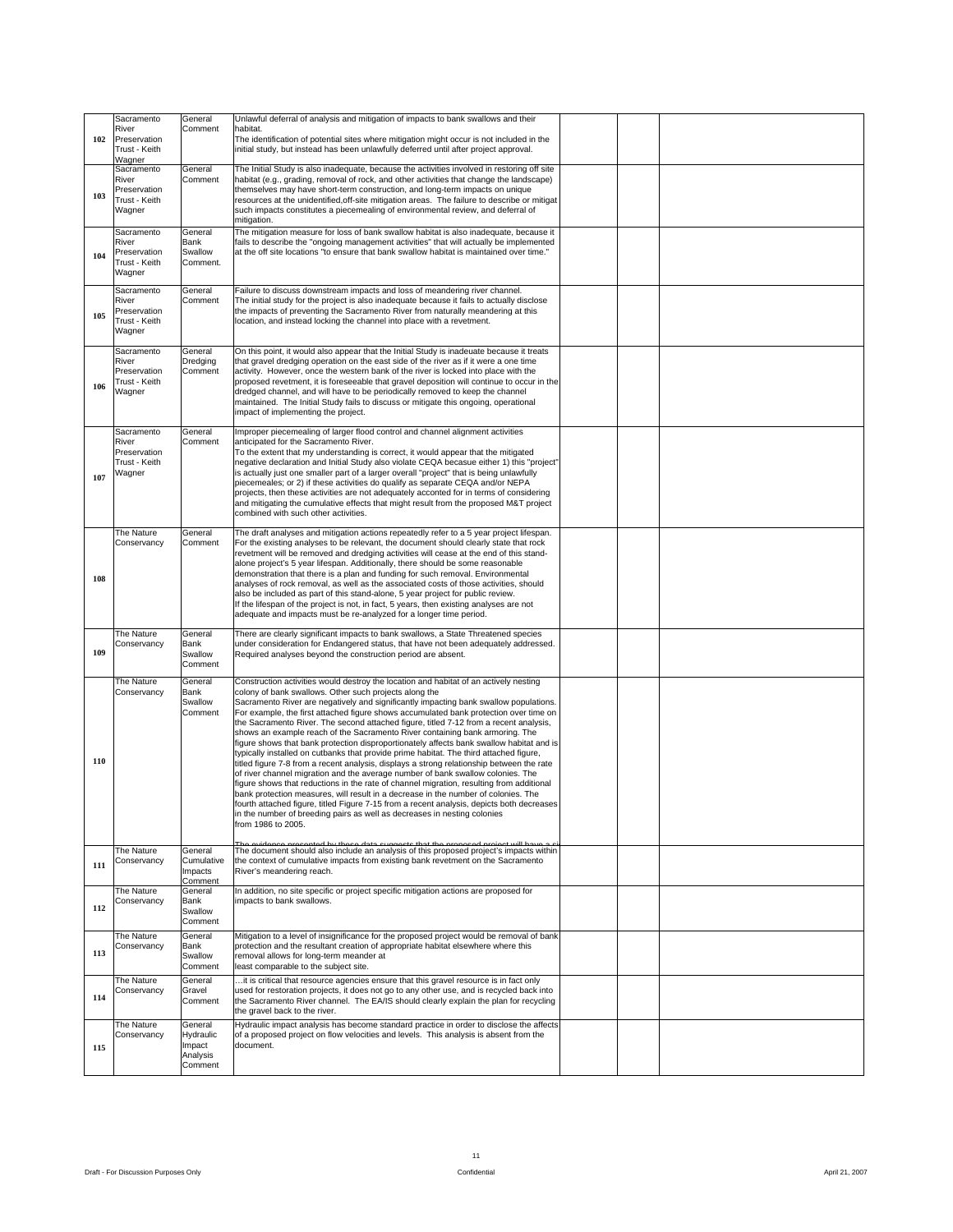| Sacramento                           | General             | Unlawful deferral of analysis and mitigation of impacts to bank swallows and their                                                                                                                                       |                |
|--------------------------------------|---------------------|--------------------------------------------------------------------------------------------------------------------------------------------------------------------------------------------------------------------------|----------------|
| River<br>102 Preservation            | Comment             | habitat.<br>The identification of potential sites where mitigation might occur is not included in the                                                                                                                    |                |
| Trust - Keith<br>Wagner              |                     | initial study, but instead has been unlawfully deferred until after project approval.                                                                                                                                    |                |
| Sacramento<br>River                  | General             | The Initial Study is also inadequate, because the activities involved in restoring off site<br>Comment   habitat (e.g., grading, removal of rock, and other activities that change the landscape)                        |                |
| Preservation<br>103<br>Trust - Keith |                     | themselves may have short-term construction, and long-term impacts on unique<br>resources at the unidentified, off-site mitigation areas. The failure to describe or mitigat                                             |                |
| Wagner                               |                     | such impacts constitutes a piecemealing of environmental review, and deferral of<br>mitigation.                                                                                                                          |                |
| Sacramento<br>River                  | General<br>Bank     | The mitigation measure for loss of bank swallow habitat is also inadequate, because it<br>fails to describe the "ongoing management activities" that will actually be implemented                                        |                |
| Preservation<br>104<br>Trust - Keith | Swallow<br>Comment. | at the off site locations "to ensure that bank swallow habitat is maintained over time."                                                                                                                                 |                |
| Wagner                               |                     |                                                                                                                                                                                                                          |                |
| Sacramento<br>River                  | General<br>Comment  | Failure to discuss downstream impacts and loss of meandering river channel.<br>The initial study for the project is also inadequate because it fails to actually disclose                                                |                |
| Preservation<br>105<br>Trust - Keith |                     | the impacts of preventing the Sacramento River from naturally meandering at this<br>location, and instead locking the channel into place with a revetment.                                                               |                |
| Wagner                               |                     |                                                                                                                                                                                                                          |                |
| Sacramento<br>River                  | General<br>Dredging | On this point, it would also appear that the Initial Study is inadeuate because it treats<br>that gravel dredging operation on the east side of the river as if it were a one time                                       |                |
| Preservation<br>Trust - Keith<br>106 |                     | Comment activity. However, once the western bank of the river is locked into place with the<br>proposed revetment, it is foreseeable that gravel deposition will continue to occur in the                                |                |
| Wagner                               |                     | dredged channel, and will have to be periodically removed to keep the channel<br>maintained. The Initial Study fails to discuss or mitigate this ongoing, operational                                                    |                |
|                                      |                     | impact of implementing the project.                                                                                                                                                                                      |                |
| Sacramento<br>River                  | General<br>Comment  | Improper piecemealing of larger flood control and channel alignment activities<br>anticipated for the Sacramento River.                                                                                                  |                |
| Preservation<br>Trust - Keith        |                     | To the extent that my understanding is correct, it would appear that the mitigated<br>negative declaration and Initial Study also violate CEQA becasue either 1) this "project"                                          |                |
| Wagner<br>107                        |                     | is actually just one smaller part of a larger overall "project" that is being unlawfully<br>piecemeales; or 2) if these activities do qualify as separate CEQA and/or NEPA                                               |                |
|                                      |                     | projects, then these activities are not adequately acconted for in terms of considering<br>and mitigating the cumulative effects that might result from the proposed M&T project<br>combined with such other activities. |                |
| The Nature                           | General             | The draft analyses and mitigation actions repeatedly refer to a 5 year project lifespan.                                                                                                                                 |                |
| Conservancy                          | Comment             | For the existing analyses to be relevant, the document should clearly state that rock<br>revetment will be removed and dredging activities will cease at the end of this stand-                                          |                |
|                                      |                     | alone project's 5 year lifespan. Additionally, there should be some reasonable<br>demonstration that there is a plan and funding for such removal. Environmental                                                         |                |
| 108                                  |                     | analyses of rock removal, as well as the associated costs of those activities, should<br>also be included as part of this stand-alone, 5 year project for public review.                                                 |                |
|                                      |                     | If the lifespan of the project is not, in fact, 5 years, then existing analyses are not<br>adequate and impacts must be re-analyzed for a longer time period.                                                            |                |
| The Nature                           | General             | There are clearly significant impacts to bank swallows, a State Threatened species                                                                                                                                       |                |
| Conservancy<br>109                   | Bank<br>Swallow     | under consideration for Endangered status, that have not been adequately addressed.<br>Required analyses beyond the construction period are absent.                                                                      |                |
|                                      | Comment             |                                                                                                                                                                                                                          |                |
| The Nature<br>Conservancy            | General<br>Bank     | Construction activities would destroy the location and habitat of an actively nesting<br>colony of bank swallows. Other such projects along the                                                                          |                |
|                                      | Swallow             | Sacramento River are negatively and significantly impacting bank swallow populations.<br>Comment For example, the first attached figure shows accumulated bank protection over time on                                   |                |
|                                      |                     | the Sacramento River. The second attached figure, titled 7-12 from a recent analysis,<br>shows an example reach of the Sacramento River containing bank armoring. The                                                    |                |
|                                      |                     | figure shows that bank protection disproportionately affects bank swallow habitat and is<br>typically installed on cutbanks that provide prime habitat. The third attached figure,                                       |                |
| 110                                  |                     | titled figure 7-8 from a recent analysis, displays a strong relationship between the rate<br>of river channel migration and the average number of bank swallow colonies. The                                             |                |
|                                      |                     | figure shows that reductions in the rate of channel migration, resulting from additional<br>bank protection measures, will result in a decrease in the number of colonies. The                                           |                |
|                                      |                     | fourth attached figure, titled Figure 7-15 from a recent analysis, depicts both decreases<br>in the number of breeding pairs as well as decreases in nesting colonies                                                    |                |
|                                      |                     | from 1986 to 2005.                                                                                                                                                                                                       |                |
| The Nature                           | General             | he evidence presented by these data suggests that the proposed project will baye a si<br>The document should also include an analysis of this proposed project's impacts within                                          |                |
| Conservancy<br>111                   | Impacts             | Cumulative   the context of cumulative impacts from existing bank revetment on the Sacramento<br>River's meandering reach.                                                                                               |                |
| The Nature                           | Comment<br>General  | In addition, no site specific or project specific mitigation actions are proposed for                                                                                                                                    |                |
| Conservancy<br>112                   | Bank<br>Swallow     | impacts to bank swallows.                                                                                                                                                                                                |                |
|                                      | Comment             |                                                                                                                                                                                                                          |                |
| The Nature<br>Conservancy<br>113     | General<br>Bank     | Mitigation to a level of insignificance for the proposed project would be removal of bank<br>protection and the resultant creation of appropriate habitat elsewhere where this                                           |                |
|                                      | Swallow             | removal allows for long-term meander at<br>Comment   least comparable to the subject site.                                                                                                                               |                |
| The Nature<br>Conservancy            | General<br>Gravel   | it is critical that resource agencies ensure that this gravel resource is in fact only<br>used for restoration projects, it does not go to any other use, and is recycled back into                                      |                |
| 114                                  |                     | Comment the Sacramento River channel. The EA/IS should clearly explain the plan for recycling<br>the gravel back to the river.                                                                                           |                |
| The Nature                           | General             | Hydraulic impact analysis has become standard practice in order to disclose the affects                                                                                                                                  |                |
| Conservancy<br>115                   | Hydraulic<br>Impact | of a proposed project on flow velocities and levels. This analysis is absent from the<br>document.                                                                                                                       |                |
|                                      | Analysis<br>Comment |                                                                                                                                                                                                                          |                |
|                                      |                     |                                                                                                                                                                                                                          |                |
|                                      |                     |                                                                                                                                                                                                                          |                |
|                                      |                     |                                                                                                                                                                                                                          |                |
|                                      |                     |                                                                                                                                                                                                                          |                |
|                                      |                     | 11                                                                                                                                                                                                                       |                |
| Draft - For Discussion Purposes Only |                     | Confidential                                                                                                                                                                                                             | April 21, 2007 |